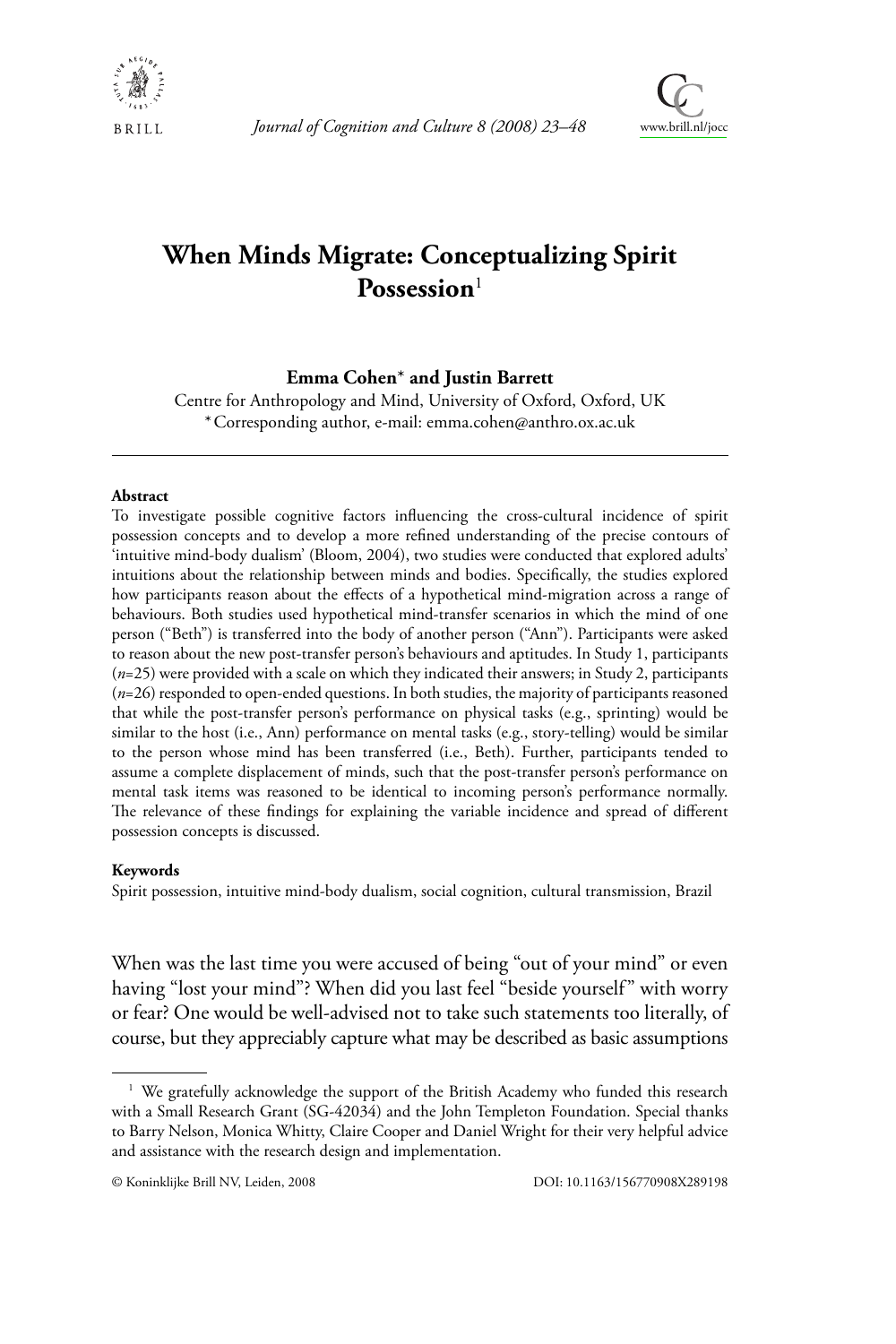



# When Minds Migrate: Conceptualizing Spirit  $$

## Emma Cohen\* and Justin Barrett

Centre for Anthropology and Mind, University of Oxford, Oxford, UK \*Corresponding author, e-mail: emma.cohen@anthro.ox.ac.uk

#### Abstract

To investigate possible cognitive factors influencing the cross-cultural incidence of spirit possession concepts and to develop a more refined understanding of the precise contours of 'intuitive mind-body dualism' (Bloom, 2004), two studies were conducted that explored adults' intuitions about the relationship between minds and bodies. Specifically, the studies explored how participants reason about the effects of a hypothetical mind-migration across a range of behaviours. Both studies used hypothetical mind-transfer scenarios in which the mind of one person ("Beth") is transferred into the body of another person ("Ann"). Participants were asked to reason about the new post-transfer person's behaviours and aptitudes. In Study 1, participants  $(n=25)$  were provided with a scale on which they indicated their answers; in Study 2, participants  $(n=26)$  responded to open-ended questions. In both studies, the majority of participants reasoned that while the post-transfer person's performance on physical tasks (e.g., sprinting) would be similar to the host (i.e., Ann) performance on mental tasks (e.g., story-telling) would be similar to the person whose mind has been transferred (i.e., Beth). Further, participants tended to assume a complete displacement of minds, such that the post-transfer person's performance on mental task items was reasoned to be identical to incoming person's performance normally. The relevance of these findings for explaining the variable incidence and spread of different possession concepts is discussed.

### Keywords

Spirit possession, intuitive mind-body dualism, social cognition, cultural transmission, Brazil

When was the last time you were accused of being "out of your mind" or even having "lost your mind"? When did you last feel "beside yourself" with worry or fear? One would be well-advised not to take such statements too literally, of course, but they appreciably capture what may be described as basic assumptions

<sup>&</sup>lt;sup>1</sup> We gratefully acknowledge the support of the British Academy who funded this research with a Small Research Grant (SG-42034) and the John Templeton Foundation. Special thanks to Barry Nelson, Monica Whitty, Claire Cooper and Daniel Wright for their very helpful advice and assistance with the research design and implementation.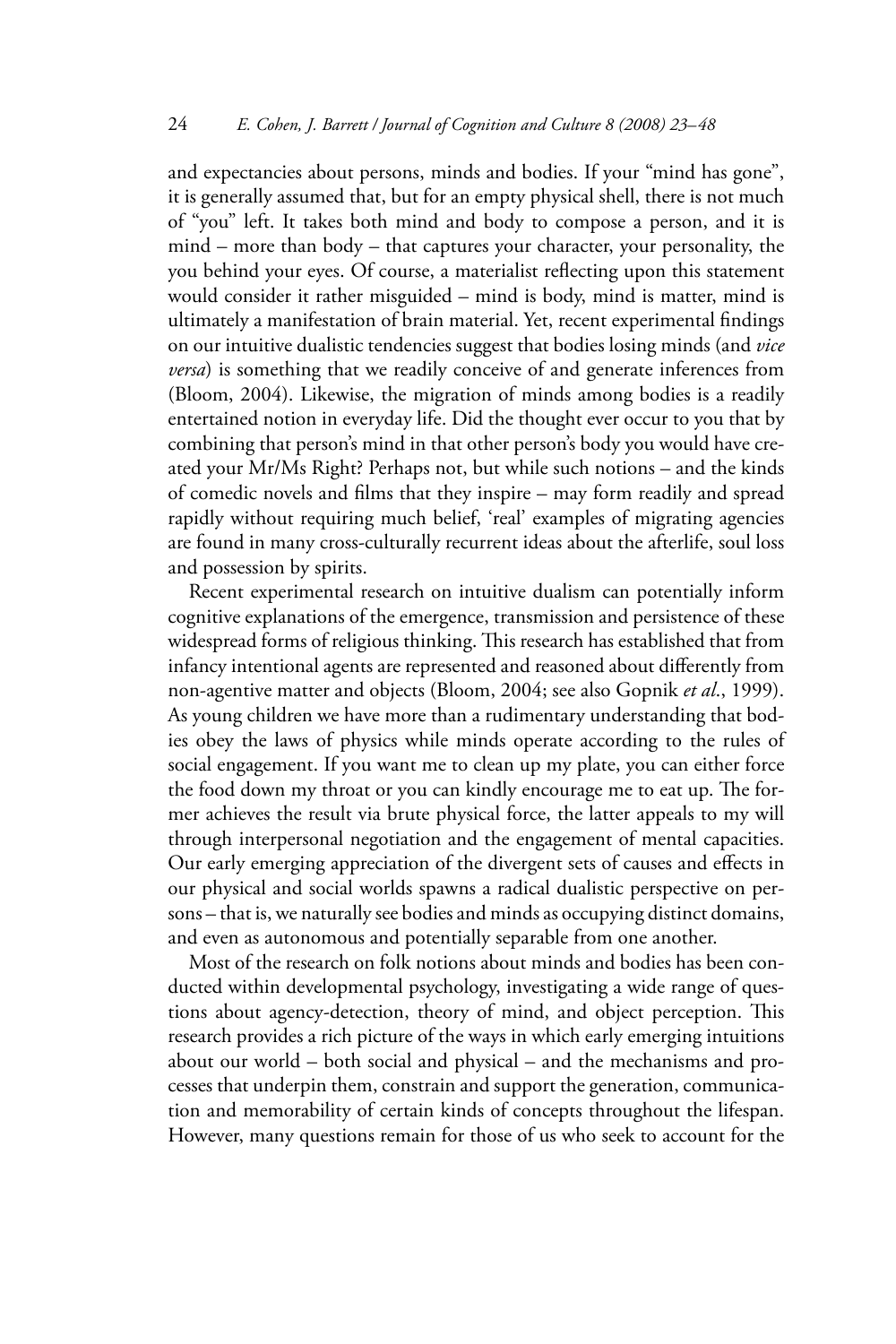and expectancies about persons, minds and bodies. If your "mind has gone", it is generally assumed that, but for an empty physical shell, there is not much of "you" left. It takes both mind and body to compose a person, and it is mind - more than body - that captures your character, your personality, the you behind your eyes. Of course, a materialist reflecting upon this statement would consider it rather misguided - mind is body, mind is matter, mind is ultimately a manifestation of brain material. Yet, recent experimental findings on our intuitive dualistic tendencies suggest that bodies losing minds (and vice versa) is something that we readily conceive of and generate inferences from (Bloom, 2004). Likewise, the migration of minds among bodies is a readily entertained notion in everyday life. Did the thought ever occur to you that by combining that person's mind in that other person's body you would have created your Mr/Ms Right? Perhaps not, but while such notions - and the kinds of comedic novels and films that they inspire - may form readily and spread rapidly without requiring much belief, 'real' examples of migrating agencies are found in many cross-culturally recurrent ideas about the afterlife, soul loss and possession by spirits.

Recent experimental research on intuitive dualism can potentially inform cognitive explanations of the emergence, transmission and persistence of these widespread forms of religious thinking. This research has established that from infancy intentional agents are represented and reasoned about differently from non-agentive matter and objects (Bloom, 2004; see also Gopnik et al., 1999). As young children we have more than a rudimentary understanding that bodies obey the laws of physics while minds operate according to the rules of social engagement. If you want me to clean up my plate, you can either force the food down my throat or you can kindly encourage me to eat up. The former achieves the result via brute physical force, the latter appeals to my will through interpersonal negotiation and the engagement of mental capacities. Our early emerging appreciation of the divergent sets of causes and effects in our physical and social worlds spawns a radical dualistic perspective on persons - that is, we naturally see bodies and minds as occupying distinct domains, and even as autonomous and potentially separable from one another.

Most of the research on folk notions about minds and bodies has been conducted within developmental psychology, investigating a wide range of questions about agency-detection, theory of mind, and object perception. This research provides a rich picture of the ways in which early emerging intuitions about our world - both social and physical - and the mechanisms and processes that underpin them, constrain and support the generation, communication and memorability of certain kinds of concepts throughout the lifespan. However, many questions remain for those of us who seek to account for the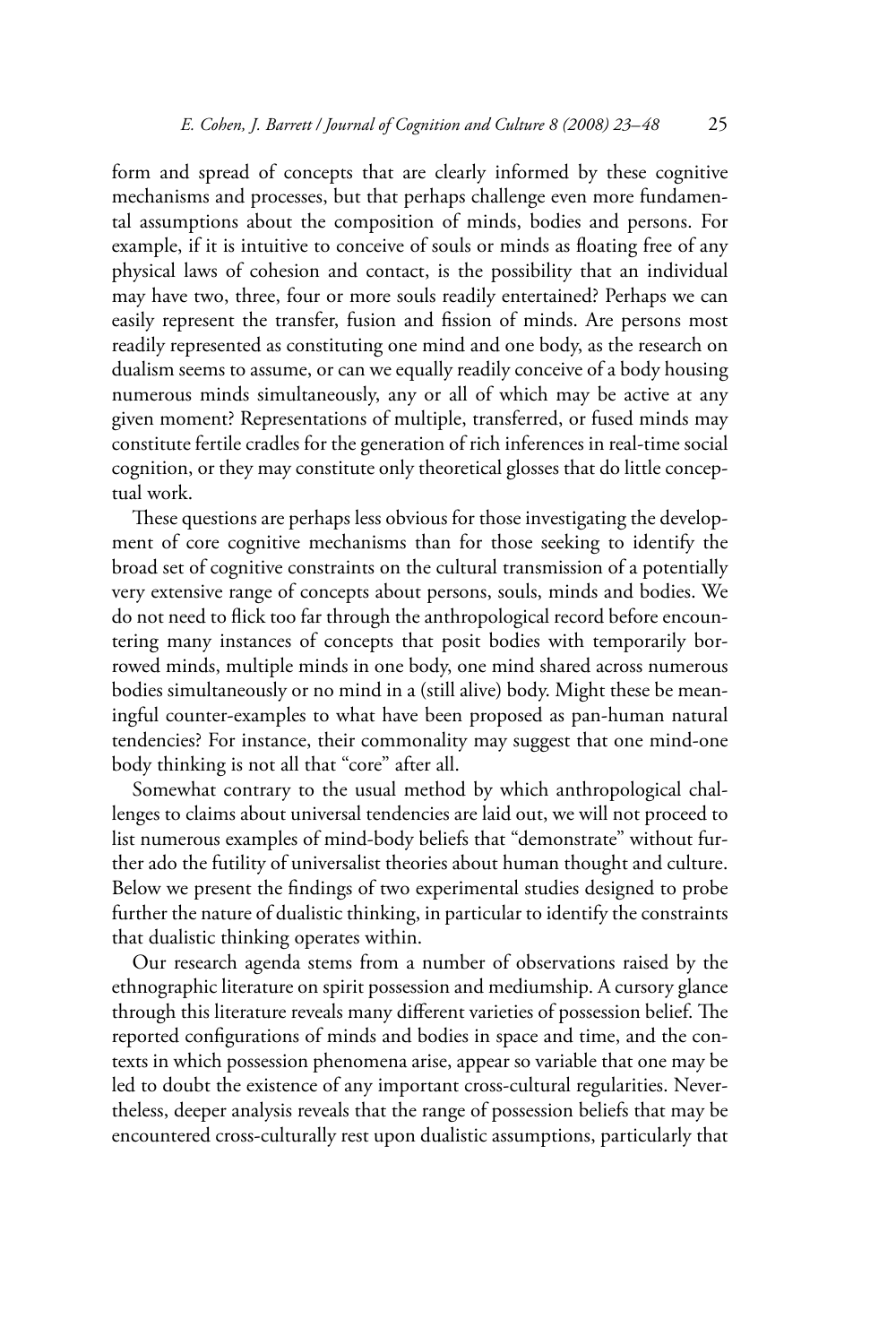form and spread of concepts that are clearly informed by these cognitive mechanisms and processes, but that perhaps challenge even more fundamental assumptions about the composition of minds, bodies and persons. For example, if it is intuitive to conceive of souls or minds as floating free of any physical laws of cohesion and contact, is the possibility that an individual may have two, three, four or more souls readily entertained? Perhaps we can easily represent the transfer, fusion and fission of minds. Are persons most readily represented as constituting one mind and one body, as the research on dualism seems to assume, or can we equally readily conceive of a body housing numerous minds simultaneously, any or all of which may be active at any given moment? Representations of multiple, transferred, or fused minds may constitute fertile cradles for the generation of rich inferences in real-time social cognition, or they may constitute only theoretical glosses that do little conceptual work

These questions are perhaps less obvious for those investigating the development of core cognitive mechanisms than for those seeking to identify the broad set of cognitive constraints on the cultural transmission of a potentially very extensive range of concepts about persons, souls, minds and bodies. We do not need to flick too far through the anthropological record before encountering many instances of concepts that posit bodies with temporarily borrowed minds, multiple minds in one body, one mind shared across numerous bodies simultaneously or no mind in a (still alive) body. Might these be meaningful counter-examples to what have been proposed as pan-human natural tendencies? For instance, their commonality may suggest that one mind-one body thinking is not all that "core" after all.

Somewhat contrary to the usual method by which anthropological challenges to claims about universal tendencies are laid out, we will not proceed to list numerous examples of mind-body beliefs that "demonstrate" without further ado the futility of universalist theories about human thought and culture. Below we present the findings of two experimental studies designed to probe further the nature of dualistic thinking, in particular to identify the constraints that dualistic thinking operates within.

Our research agenda stems from a number of observations raised by the ethnographic literature on spirit possession and mediumship. A cursory glance through this literature reveals many different varieties of possession belief. The reported configurations of minds and bodies in space and time, and the contexts in which possession phenomena arise, appear so variable that one may be led to doubt the existence of any important cross-cultural regularities. Nevertheless, deeper analysis reveals that the range of possession beliefs that may be encountered cross-culturally rest upon dualistic assumptions, particularly that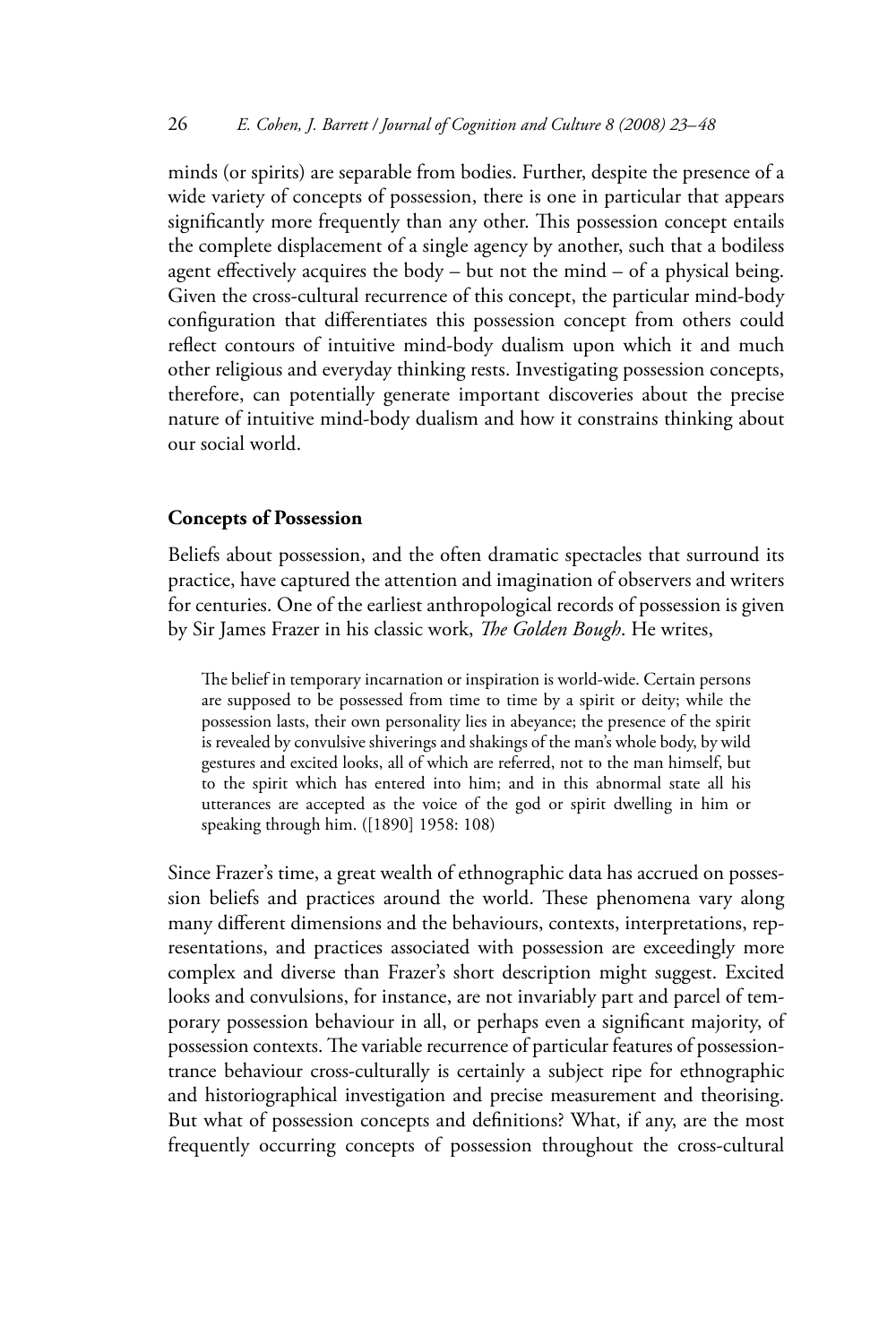minds (or spirits) are separable from bodies. Further, despite the presence of a wide variety of concepts of possession, there is one in particular that appears significantly more frequently than any other. This possession concept entails the complete displacement of a single agency by another, such that a bodiless agent effectively acquires the body - but not the mind - of a physical being. Given the cross-cultural recurrence of this concept, the particular mind-body configuration that differentiates this possession concept from others could reflect contours of intuitive mind-body dualism upon which it and much other religious and everyday thinking rests. Investigating possession concepts, therefore, can potentially generate important discoveries about the precise nature of intuitive mind-body dualism and how it constrains thinking about our social world

## **Concepts of Possession**

Beliefs about possession, and the often dramatic spectacles that surround its practice, have captured the attention and imagination of observers and writers for centuries. One of the earliest anthropological records of possession is given by Sir James Frazer in his classic work, *The Golden Bough*. He writes,

The belief in temporary incarnation or inspiration is world-wide. Certain persons are supposed to be possessed from time to time by a spirit or deity; while the possession lasts, their own personality lies in abeyance; the presence of the spirit is revealed by convulsive shiverings and shakings of the man's whole body, by wild gestures and excited looks, all of which are referred, not to the man himself, but to the spirit which has entered into him; and in this abnormal state all his utterances are accepted as the voice of the god or spirit dwelling in him or speaking through him. ([1890] 1958: 108)

Since Frazer's time, a great wealth of ethnographic data has accrued on possession beliefs and practices around the world. These phenomena vary along many different dimensions and the behaviours, contexts, interpretations, representations, and practices associated with possession are exceedingly more complex and diverse than Frazer's short description might suggest. Excited looks and convulsions, for instance, are not invariably part and parcel of temporary possession behaviour in all, or perhaps even a significant majority, of possession contexts. The variable recurrence of particular features of possessiontrance behaviour cross-culturally is certainly a subject ripe for ethnographic and historiographical investigation and precise measurement and theorising. But what of possession concepts and definitions? What, if any, are the most frequently occurring concepts of possession throughout the cross-cultural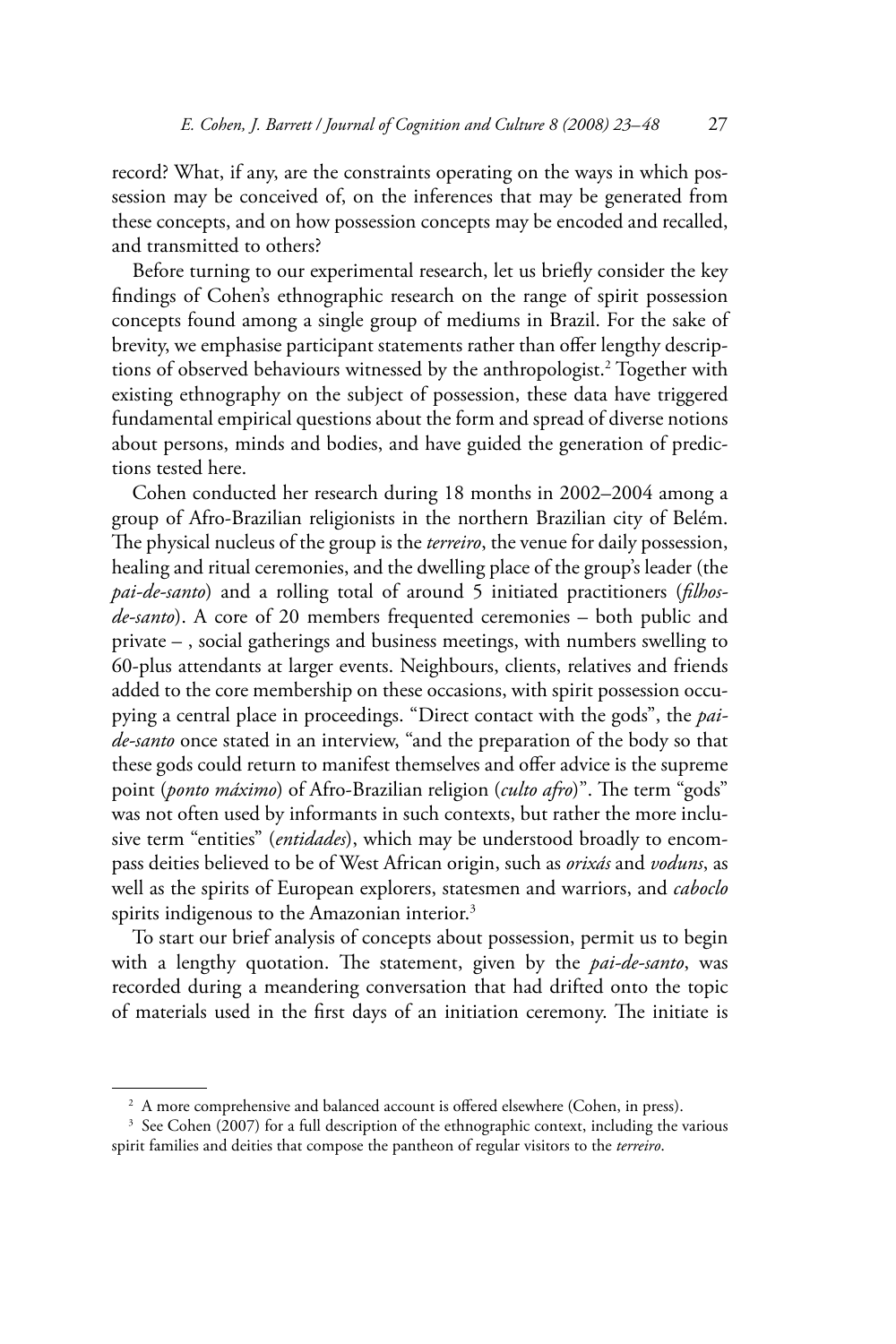record? What, if any, are the constraints operating on the ways in which possession may be conceived of, on the inferences that may be generated from these concepts, and on how possession concepts may be encoded and recalled, and transmitted to others?

Before turning to our experimental research, let us briefly consider the key findings of Cohen's ethnographic research on the range of spirit possession concepts found among a single group of mediums in Brazil. For the sake of brevity, we emphasise participant statements rather than offer lengthy descriptions of observed behaviours witnessed by the anthropologist.<sup>2</sup> Together with existing ethnography on the subject of possession, these data have triggered fundamental empirical questions about the form and spread of diverse notions about persons, minds and bodies, and have guided the generation of predictions tested here.

Cohen conducted her research during 18 months in 2002-2004 among a group of Afro-Brazilian religionists in the northern Brazilian city of Belém. The physical nucleus of the group is the terreiro, the venue for daily possession, healing and ritual ceremonies, and the dwelling place of the group's leader (the pai-de-santo) and a rolling total of around 5 initiated practitioners (filhosde-santo). A core of 20 members frequented ceremonies - both public and private - , social gatherings and business meetings, with numbers swelling to 60-plus attendants at larger events. Neighbours, clients, relatives and friends added to the core membership on these occasions, with spirit possession occupying a central place in proceedings. "Direct contact with the gods", the paide-santo once stated in an interview, "and the preparation of the body so that these gods could return to manifest themselves and offer advice is the supreme point (ponto máximo) of Afro-Brazilian religion (culto afro)". The term "gods" was not often used by informants in such contexts, but rather the more inclusive term "entities" (entidades), which may be understood broadly to encompass deities believed to be of West African origin, such as orixás and voduns, as well as the spirits of European explorers, statesmen and warriors, and *caboclo* spirits indigenous to the Amazonian interior.<sup>3</sup>

To start our brief analysis of concepts about possession, permit us to begin with a lengthy quotation. The statement, given by the *pai-de-santo*, was recorded during a meandering conversation that had drifted onto the topic of materials used in the first days of an initiation ceremony. The initiate is

<sup>&</sup>lt;sup>2</sup> A more comprehensive and balanced account is offered elsewhere (Cohen, in press).

<sup>&</sup>lt;sup>3</sup> See Cohen (2007) for a full description of the ethnographic context, including the various spirit families and deities that compose the pantheon of regular visitors to the terreiro.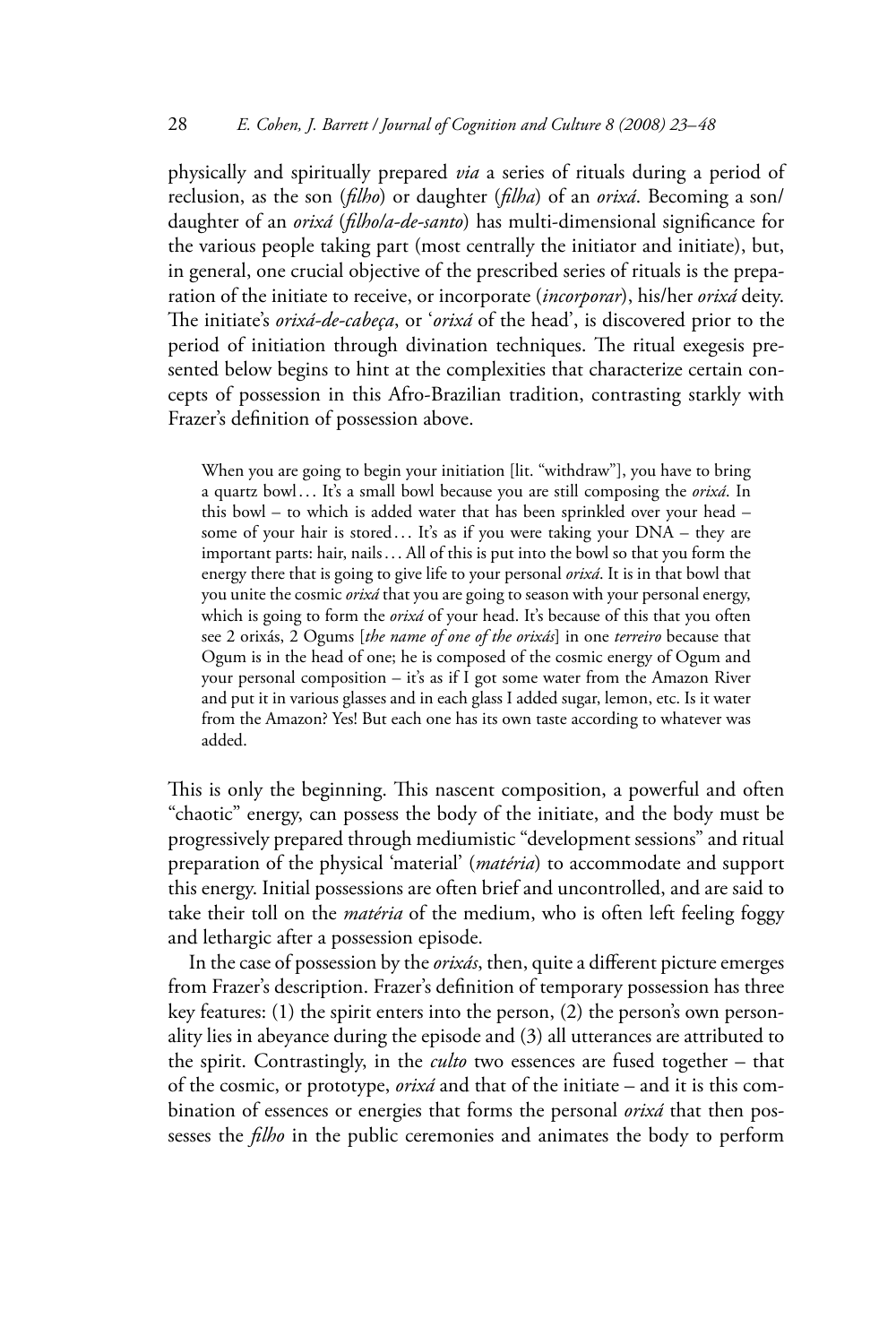physically and spiritually prepared via a series of rituals during a period of reclusion, as the son  $(filho)$  or daughter  $(filha)$  of an *orixá*. Becoming a son/ daughter of an *orixá* (*filhola-de-santo*) has multi-dimensional significance for the various people taking part (most centrally the initiator and initiate), but, in general, one crucial objective of the prescribed series of rituals is the preparation of the initiate to receive, or incorporate (incorporar), his/her orixá deity. The initiate's orixá-de-cabeça, or 'orixá of the head', is discovered prior to the period of initiation through divination techniques. The ritual exegesis presented below begins to hint at the complexities that characterize certain concepts of possession in this Afro-Brazilian tradition, contrasting starkly with Frazer's definition of possession above.

When you are going to begin your initiation [lit. "withdraw"], you have to bring a quartz bowl... It's a small bowl because you are still composing the *orixá*. In this bowl - to which is added water that has been sprinkled over your head some of your hair is stored... It's as if you were taking your  $DNA -$  they are important parts: hair, nails ... All of this is put into the bowl so that you form the energy there that is going to give life to your personal *orixá*. It is in that bowl that you unite the cosmic *orixá* that you are going to season with your personal energy, which is going to form the *orixá* of your head. It's because of this that you often see 2 orixás, 2 Ogums [the name of one of the orixás] in one terreiro because that Ogum is in the head of one; he is composed of the cosmic energy of Ogum and your personal composition – it's as if  $\overline{I}$  got some water from the Amazon River and put it in various glasses and in each glass I added sugar, lemon, etc. Is it water from the Amazon? Yes! But each one has its own taste according to whatever was added.

This is only the beginning. This nascent composition, a powerful and often "chaotic" energy, can possess the body of the initiate, and the body must be progressively prepared through mediumistic "development sessions" and ritual preparation of the physical 'material' (matéria) to accommodate and support this energy. Initial possessions are often brief and uncontrolled, and are said to take their toll on the *matéria* of the medium, who is often left feeling foggy and lethargic after a possession episode.

In the case of possession by the *orixás*, then, quite a different picture emerges from Frazer's description. Frazer's definition of temporary possession has three key features: (1) the spirit enters into the person, (2) the person's own personality lies in abeyance during the episode and (3) all utterances are attributed to the spirit. Contrastingly, in the *culto* two essences are fused together - that of the cosmic, or prototype, *orixá* and that of the initiate – and it is this combination of essences or energies that forms the personal *orixá* that then possesses the *filho* in the public ceremonies and animates the body to perform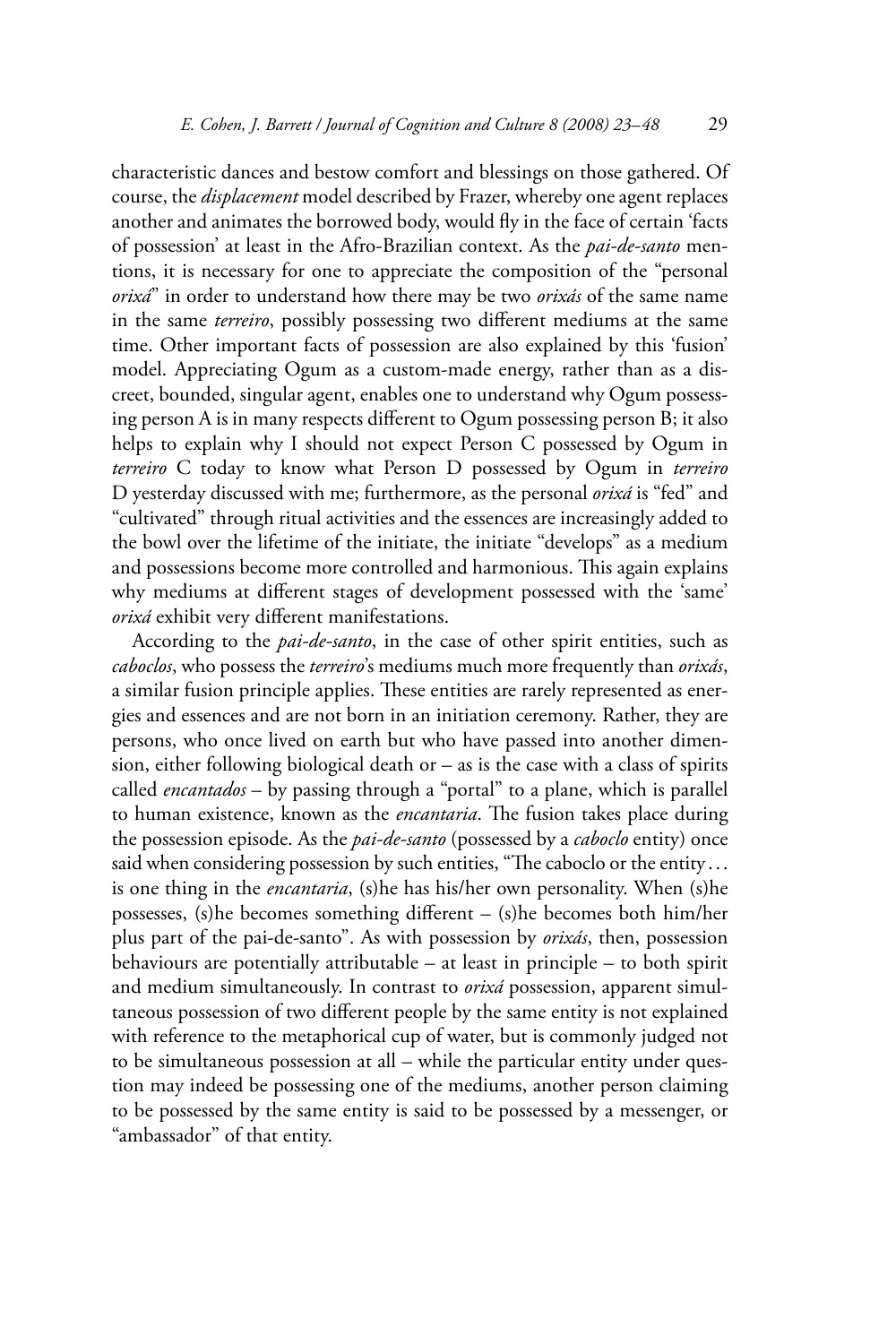characteristic dances and bestow comfort and blessings on those gathered. Of course, the *displacement* model described by Frazer, whereby one agent replaces another and animates the borrowed body, would fly in the face of certain 'facts of possession' at least in the Afro-Brazilian context. As the *pai-de-santo* mentions, it is necessary for one to appreciate the composition of the "personal orixá" in order to understand how there may be two orixás of the same name in the same terreiro, possibly possessing two different mediums at the same time. Other important facts of possession are also explained by this 'fusion' model. Appreciating Ogum as a custom-made energy, rather than as a discreet, bounded, singular agent, enables one to understand why Ogum possessing person A is in many respects different to Ogum possessing person B; it also helps to explain why I should not expect Person C possessed by Ogum in terreiro C today to know what Person D possessed by Ogum in terreiro D yesterday discussed with me; furthermore, as the personal orixá is "fed" and "cultivated" through ritual activities and the essences are increasingly added to the bowl over the lifetime of the initiate, the initiate "develops" as a medium and possessions become more controlled and harmonious. This again explains why mediums at different stages of development possessed with the 'same' orixá exhibit very different manifestations.

According to the *pai-de-santo*, in the case of other spirit entities, such as caboclos, who possess the terreiro's mediums much more frequently than orixás, a similar fusion principle applies. These entities are rarely represented as energies and essences and are not born in an initiation ceremony. Rather, they are persons, who once lived on earth but who have passed into another dimension, either following biological death or  $-$  as is the case with a class of spirits called encantados - by passing through a "portal" to a plane, which is parallel to human existence, known as the *encantaria*. The fusion takes place during the possession episode. As the pai-de-santo (possessed by a caboclo entity) once said when considering possession by such entities, "The caboclo or the entity... is one thing in the *encantaria*, (s)he has his/her own personality. When (s)he possesses, (s) he becomes something different  $-$  (s) he becomes both him/her plus part of the pai-de-santo". As with possession by *orixás*, then, possession behaviours are potentially attributable – at least in principle – to both spirit and medium simultaneously. In contrast to *orixá* possession, apparent simultaneous possession of two different people by the same entity is not explained with reference to the metaphorical cup of water, but is commonly judged not to be simultaneous possession at all - while the particular entity under question may indeed be possessing one of the mediums, another person claiming to be possessed by the same entity is said to be possessed by a messenger, or "ambassador" of that entity.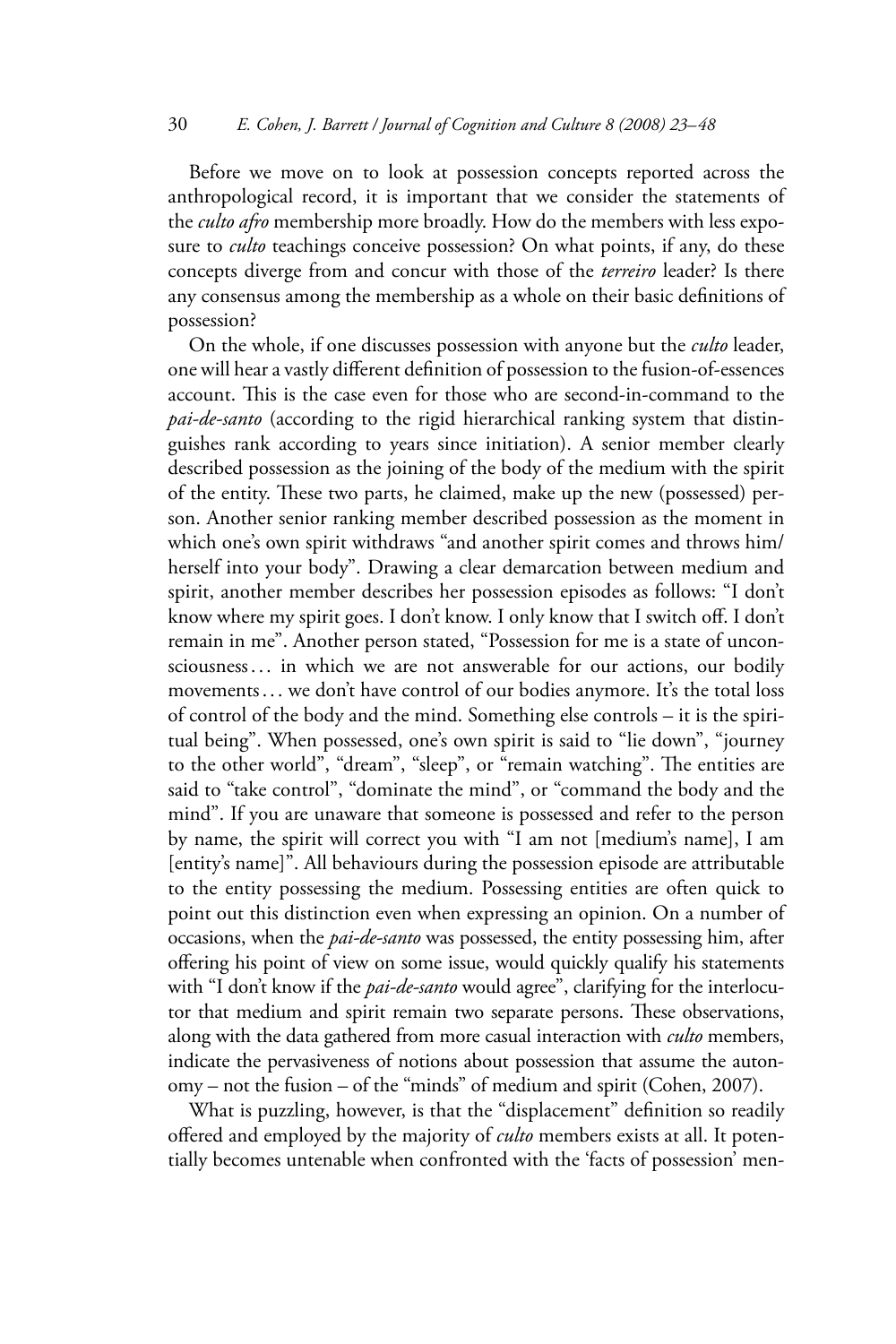Before we move on to look at possession concepts reported across the anthropological record, it is important that we consider the statements of the *culto afro* membership more broadly. How do the members with less exposure to *culto* teachings conceive possession? On what points, if any, do these concepts diverge from and concur with those of the *terreiro* leader? Is there any consensus among the membership as a whole on their basic definitions of possession?

On the whole, if one discusses possession with anyone but the *culto* leader, one will hear a vastly different definition of possession to the fusion-of-essences account. This is the case even for those who are second-in-command to the pai-de-santo (according to the rigid hierarchical ranking system that distinguishes rank according to years since initiation). A senior member clearly described possession as the joining of the body of the medium with the spirit of the entity. These two parts, he claimed, make up the new (possessed) person. Another senior ranking member described possession as the moment in which one's own spirit withdraws "and another spirit comes and throws him/ herself into your body". Drawing a clear demarcation between medium and spirit, another member describes her possession episodes as follows: "I don't know where my spirit goes. I don't know. I only know that I switch off. I don't remain in me". Another person stated, "Possession for me is a state of unconsciousness... in which we are not answerable for our actions, our bodily movements... we don't have control of our bodies anymore. It's the total loss of control of the body and the mind. Something else controls - it is the spiritual being". When possessed, one's own spirit is said to "lie down", "journey to the other world", "dream", "sleep", or "remain watching". The entities are said to "take control", "dominate the mind", or "command the body and the mind". If you are unaware that someone is possessed and refer to the person by name, the spirit will correct you with "I am not [medium's name], I am [entity's name]". All behaviours during the possession episode are attributable to the entity possessing the medium. Possessing entities are often quick to point out this distinction even when expressing an opinion. On a number of occasions, when the *pai-de-santo* was possessed, the entity possessing him, after offering his point of view on some issue, would quickly qualify his statements with "I don't know if the *pai-de-santo* would agree", clarifying for the interlocutor that medium and spirit remain two separate persons. These observations, along with the data gathered from more casual interaction with *culto* members, indicate the pervasiveness of notions about possession that assume the autonomy - not the fusion - of the "minds" of medium and spirit (Cohen, 2007).

What is puzzling, however, is that the "displacement" definition so readily offered and employed by the majority of culto members exists at all. It potentially becomes untenable when confronted with the 'facts of possession' men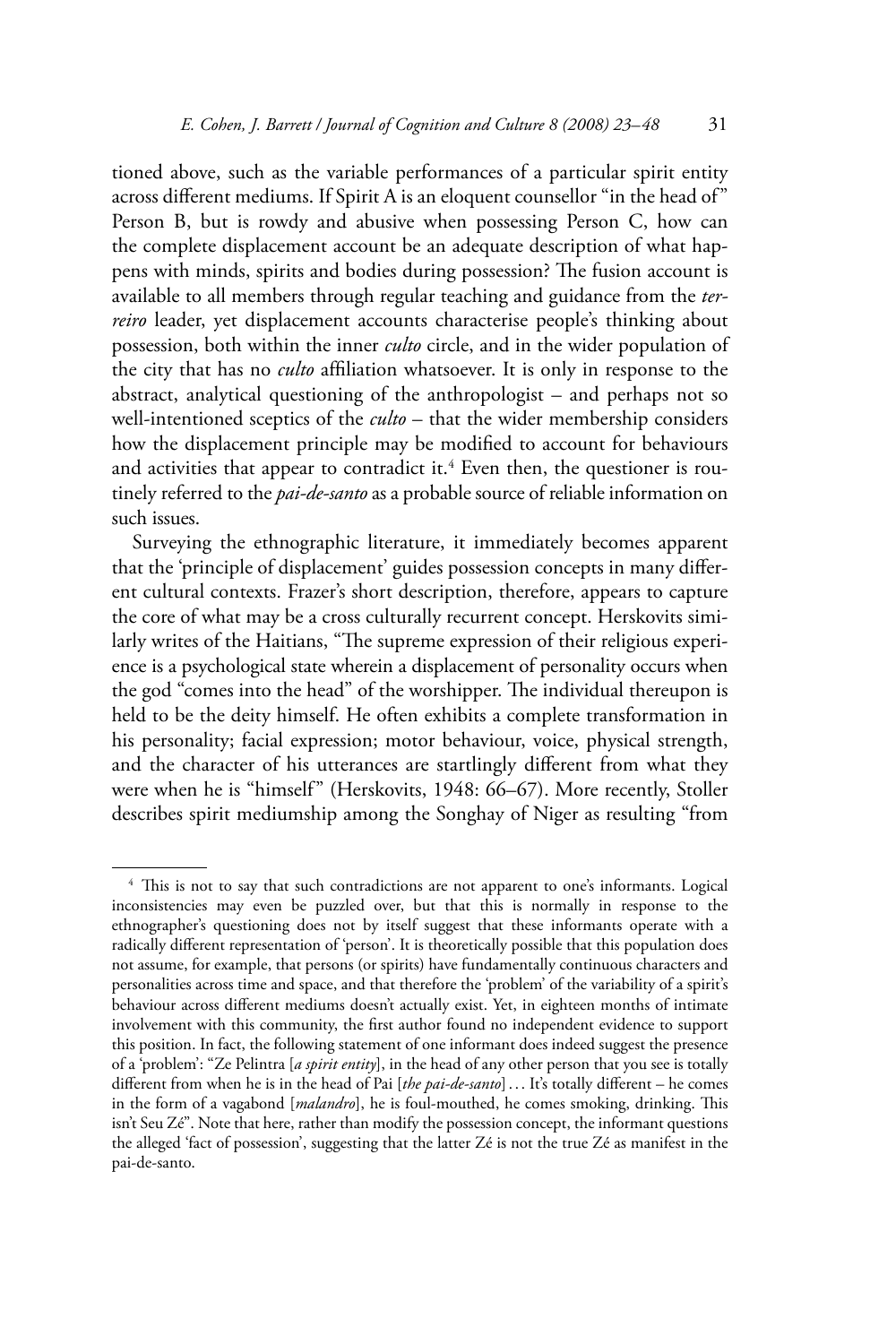tioned above, such as the variable performances of a particular spirit entity across different mediums. If Spirit A is an eloquent counsellor "in the head of" Person B, but is rowdy and abusive when possessing Person C, how can the complete displacement account be an adequate description of what happens with minds, spirits and bodies during possession? The fusion account is available to all members through regular teaching and guidance from the terreiro leader, yet displacement accounts characterise people's thinking about possession, both within the inner *culto* circle, and in the wider population of the city that has no *culto* affiliation whatsoever. It is only in response to the abstract, analytical questioning of the anthropologist - and perhaps not so well-intentioned sceptics of the  $\alpha$ the  $\alpha$  that the wider membership considers how the displacement principle may be modified to account for behaviours and activities that appear to contradict it.<sup>4</sup> Even then, the questioner is routinely referred to the *pai-de-santo* as a probable source of reliable information on such issues

Surveying the ethnographic literature, it immediately becomes apparent that the 'principle of displacement' guides possession concepts in many different cultural contexts. Frazer's short description, therefore, appears to capture the core of what may be a cross culturally recurrent concept. Herskovits similarly writes of the Haitians, "The supreme expression of their religious experience is a psychological state wherein a displacement of personality occurs when the god "comes into the head" of the worshipper. The individual thereupon is held to be the deity himself. He often exhibits a complete transformation in his personality; facial expression; motor behaviour, voice, physical strength, and the character of his utterances are startlingly different from what they were when he is "himself" (Herskovits, 1948: 66-67). More recently, Stoller describes spirit mediumship among the Songhay of Niger as resulting "from

<sup>&</sup>lt;sup>4</sup> This is not to say that such contradictions are not apparent to one's informants. Logical inconsistencies may even be puzzled over, but that this is normally in response to the ethnographer's questioning does not by itself suggest that these informants operate with a radically different representation of 'person'. It is theoretically possible that this population does not assume, for example, that persons (or spirits) have fundamentally continuous characters and personalities across time and space, and that therefore the 'problem' of the variability of a spirit's behaviour across different mediums doesn't actually exist. Yet, in eighteen months of intimate involvement with this community, the first author found no independent evidence to support this position. In fact, the following statement of one informant does indeed suggest the presence of a 'problem': "Ze Pelintra [a spirit entity], in the head of any other person that you see is totally different from when he is in the head of Pai [the pai-de-santo]... It's totally different - he comes in the form of a vagabond [*malandro*], he is foul-mouthed, he comes smoking, drinking. This isn't Seu Zé". Note that here, rather than modify the possession concept, the informant questions the alleged 'fact of possession', suggesting that the latter Zé is not the true Zé as manifest in the pai-de-santo.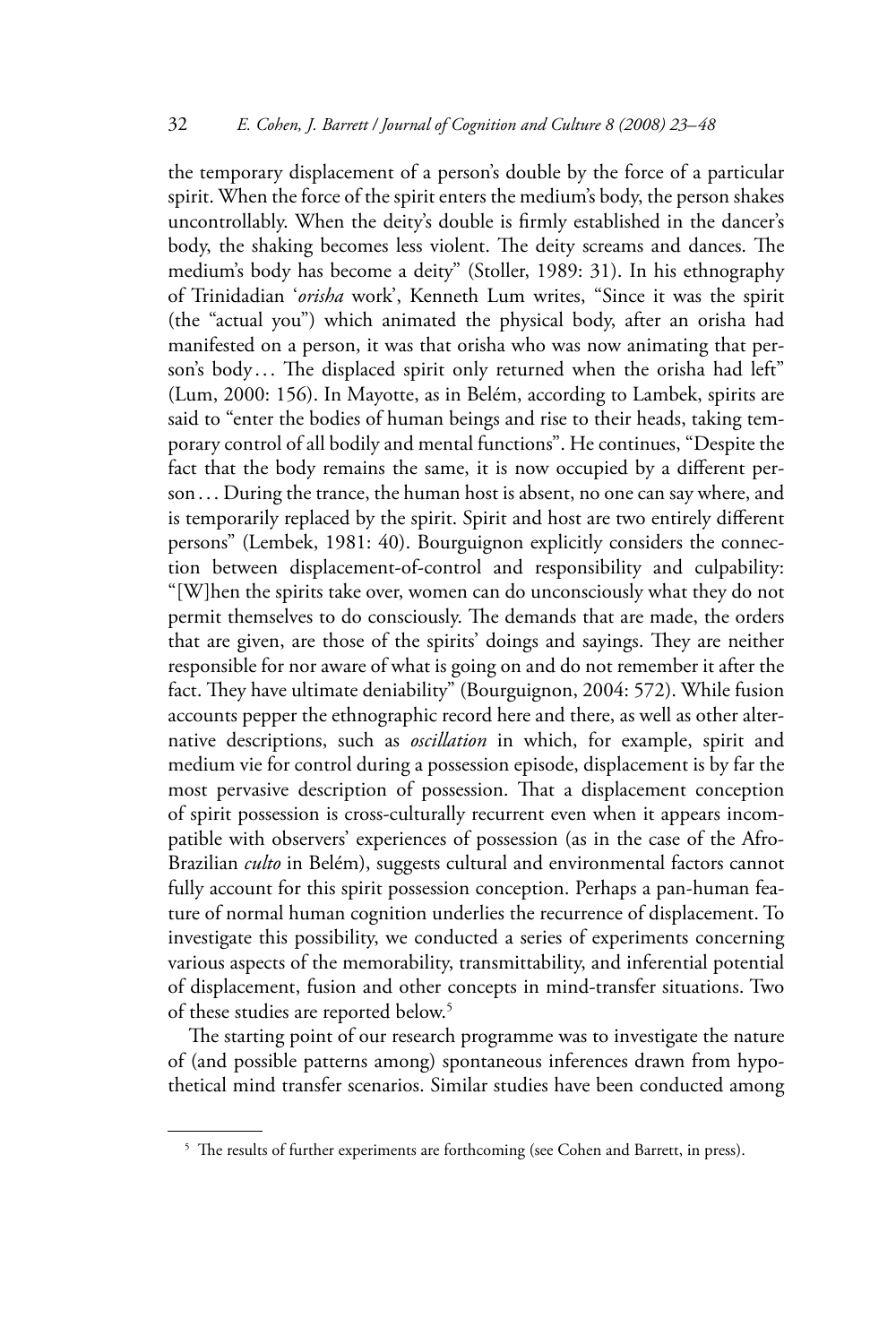the temporary displacement of a person's double by the force of a particular spirit. When the force of the spirit enters the medium's body, the person shakes uncontrollably. When the deity's double is firmly established in the dancer's body, the shaking becomes less violent. The deity screams and dances. The medium's body has become a deity" (Stoller, 1989: 31). In his ethnography of Trinidadian 'orisha work', Kenneth Lum writes, "Since it was the spirit (the "actual you") which animated the physical body, after an orisha had manifested on a person, it was that orisha who was now animating that person's body... The displaced spirit only returned when the orisha had left" (Lum, 2000: 156). In Mayotte, as in Belém, according to Lambek, spirits are said to "enter the bodies of human beings and rise to their heads, taking temporary control of all bodily and mental functions". He continues, "Despite the fact that the body remains the same, it is now occupied by a different person... During the trance, the human host is absent, no one can say where, and is temporarily replaced by the spirit. Spirit and host are two entirely different persons" (Lembek, 1981: 40). Bourguignon explicitly considers the connection between displacement-of-control and responsibility and culpability: "[W]hen the spirits take over, women can do unconsciously what they do not permit themselves to do consciously. The demands that are made, the orders that are given, are those of the spirits' doings and sayings. They are neither responsible for nor aware of what is going on and do not remember it after the fact. They have ultimate deniability" (Bourguignon, 2004: 572). While fusion accounts pepper the ethnographic record here and there, as well as other alternative descriptions, such as *oscillation* in which, for example, spirit and medium vie for control during a possession episode, displacement is by far the most pervasive description of possession. That a displacement conception of spirit possession is cross-culturally recurrent even when it appears incompatible with observers' experiences of possession (as in the case of the Afro-Brazilian culto in Belém), suggests cultural and environmental factors cannot fully account for this spirit possession conception. Perhaps a pan-human feature of normal human cognition underlies the recurrence of displacement. To investigate this possibility, we conducted a series of experiments concerning various aspects of the memorability, transmittability, and inferential potential of displacement, fusion and other concepts in mind-transfer situations. Two of these studies are reported below.<sup>5</sup>

The starting point of our research programme was to investigate the nature of (and possible patterns among) spontaneous inferences drawn from hypothetical mind transfer scenarios. Similar studies have been conducted among

<sup>&</sup>lt;sup>5</sup> The results of further experiments are forthcoming (see Cohen and Barrett, in press).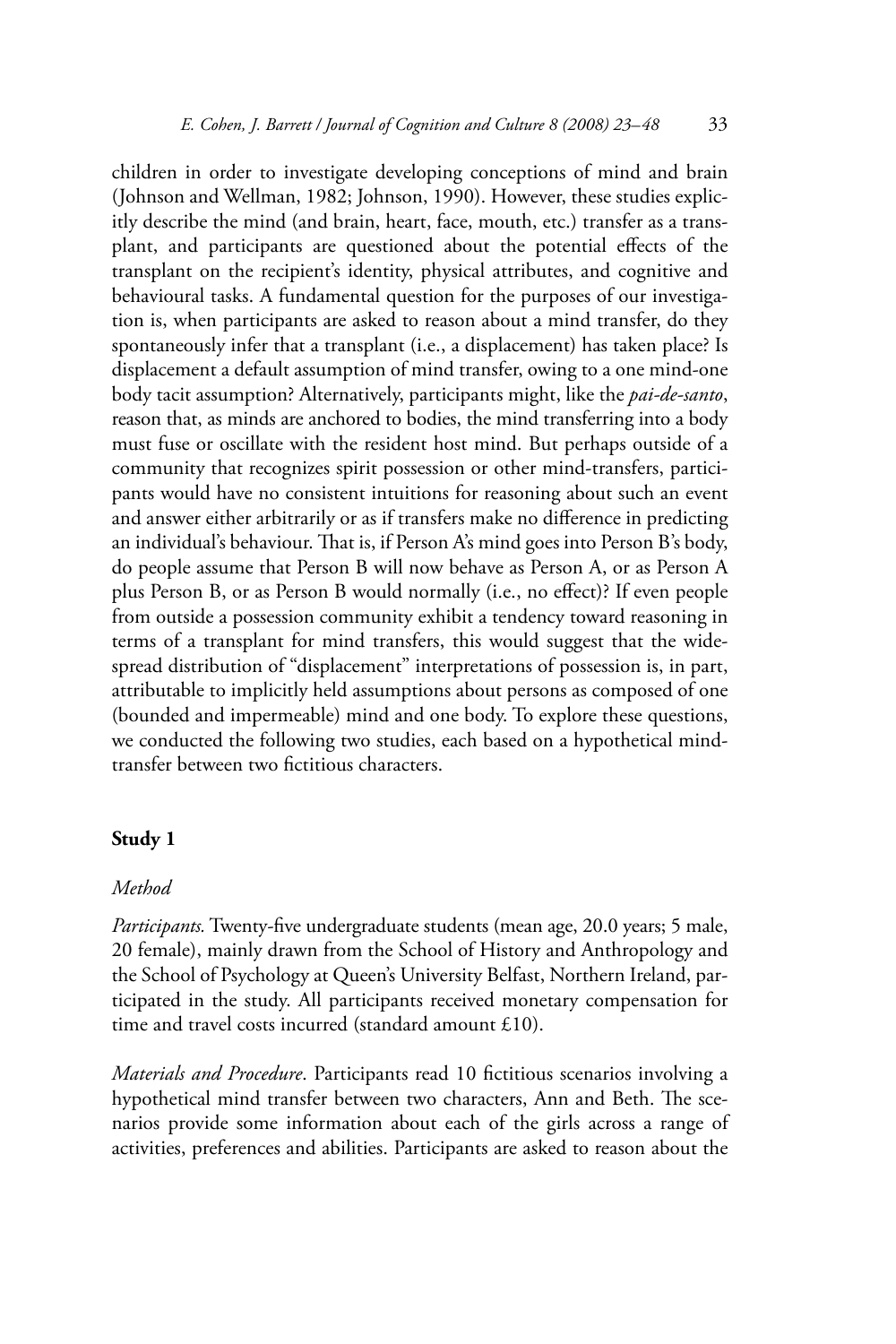children in order to investigate developing conceptions of mind and brain (Johnson and Wellman, 1982; Johnson, 1990). However, these studies explicitly describe the mind (and brain, heart, face, mouth, etc.) transfer as a transplant, and participants are questioned about the potential effects of the transplant on the recipient's identity, physical attributes, and cognitive and behavioural tasks. A fundamental question for the purposes of our investigation is, when participants are asked to reason about a mind transfer, do they spontaneously infer that a transplant (i.e., a displacement) has taken place? Is displacement a default assumption of mind transfer, owing to a one mind-one body tacit assumption? Alternatively, participants might, like the pai-de-santo, reason that, as minds are anchored to bodies, the mind transferring into a body must fuse or oscillate with the resident host mind. But perhaps outside of a community that recognizes spirit possession or other mind-transfers, participants would have no consistent intuitions for reasoning about such an event and answer either arbitrarily or as if transfers make no difference in predicting an individual's behaviour. That is, if Person A's mind goes into Person B's body, do people assume that Person B will now behave as Person A, or as Person A plus Person B, or as Person B would normally (i.e., no effect)? If even people from outside a possession community exhibit a tendency toward reasoning in terms of a transplant for mind transfers, this would suggest that the widespread distribution of "displacement" interpretations of possession is, in part, attributable to implicitly held assumptions about persons as composed of one (bounded and impermeable) mind and one body. To explore these questions, we conducted the following two studies, each based on a hypothetical mindtransfer between two fictitious characters.

## Study 1

## Method

Participants. Twenty-five undergraduate students (mean age, 20.0 years; 5 male, 20 female), mainly drawn from the School of History and Anthropology and the School of Psychology at Queen's University Belfast, Northern Ireland, participated in the study. All participants received monetary compensation for time and travel costs incurred (standard amount £10).

Materials and Procedure. Participants read 10 fictitious scenarios involving a hypothetical mind transfer between two characters, Ann and Beth. The scenarios provide some information about each of the girls across a range of activities, preferences and abilities. Participants are asked to reason about the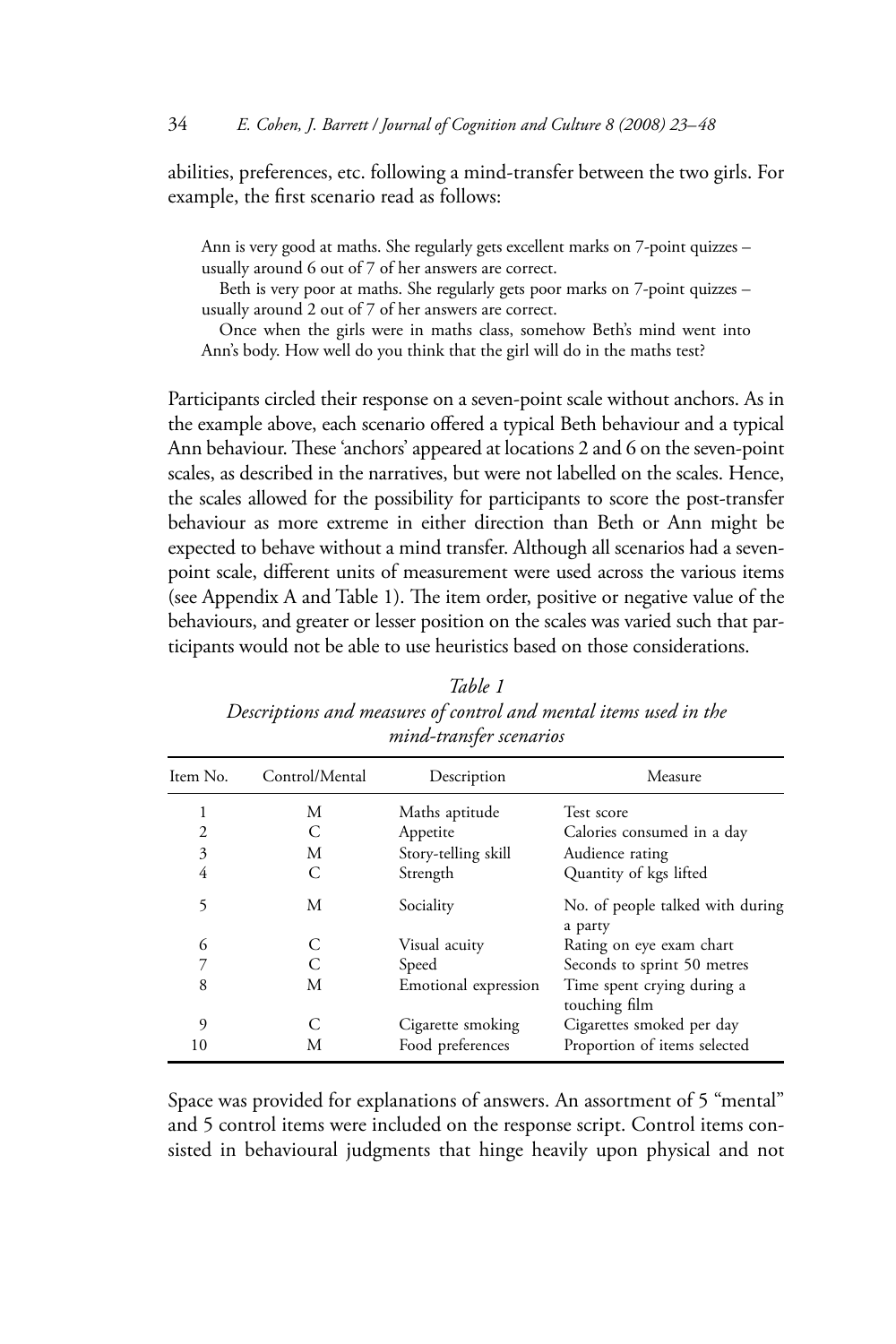abilities, preferences, etc. following a mind-transfer between the two girls. For example, the first scenario read as follows:

Ann is very good at maths. She regularly gets excellent marks on 7-point quizzes usually around 6 out of 7 of her answers are correct.

Beth is very poor at maths. She regularly gets poor marks on 7-point quizzes usually around 2 out of 7 of her answers are correct.

Once when the girls were in maths class, somehow Beth's mind went into Ann's body. How well do you think that the girl will do in the maths test?

Participants circled their response on a seven-point scale without anchors. As in the example above, each scenario offered a typical Beth behaviour and a typical Ann behaviour. These 'anchors' appeared at locations 2 and 6 on the seven-point scales, as described in the narratives, but were not labelled on the scales. Hence, the scales allowed for the possibility for participants to score the post-transfer behaviour as more extreme in either direction than Beth or Ann might be expected to behave without a mind transfer. Although all scenarios had a sevenpoint scale, different units of measurement were used across the various items (see Appendix A and Table 1). The item order, positive or negative value of the behaviours, and greater or lesser position on the scales was varied such that participants would not be able to use heuristics based on those considerations.

| Item No. | Control/Mental | Description          | Measure                                     |
|----------|----------------|----------------------|---------------------------------------------|
|          | М              | Maths aptitude       | Test score                                  |
| 2        |                | Appetite             | Calories consumed in a day                  |
| 3        | M              | Story-telling skill  | Audience rating                             |
| 4        |                | Strength             | Quantity of kgs lifted                      |
| 5        | M              | Sociality            | No. of people talked with during<br>a party |
| 6        |                | Visual acuity        | Rating on eye exam chart                    |
|          |                | Speed                | Seconds to sprint 50 metres                 |
| 8        | М              | Emotional expression | Time spent crying during a<br>touching film |
| 9        |                | Cigarette smoking    | Cigarettes smoked per day                   |
| 10       | M              | Food preferences     | Proportion of items selected                |

Table 1 Descriptions and measures of control and mental items used in the mind-transfer scenarios

Space was provided for explanations of answers. An assortment of 5 "mental" and 5 control items were included on the response script. Control items consisted in behavioural judgments that hinge heavily upon physical and not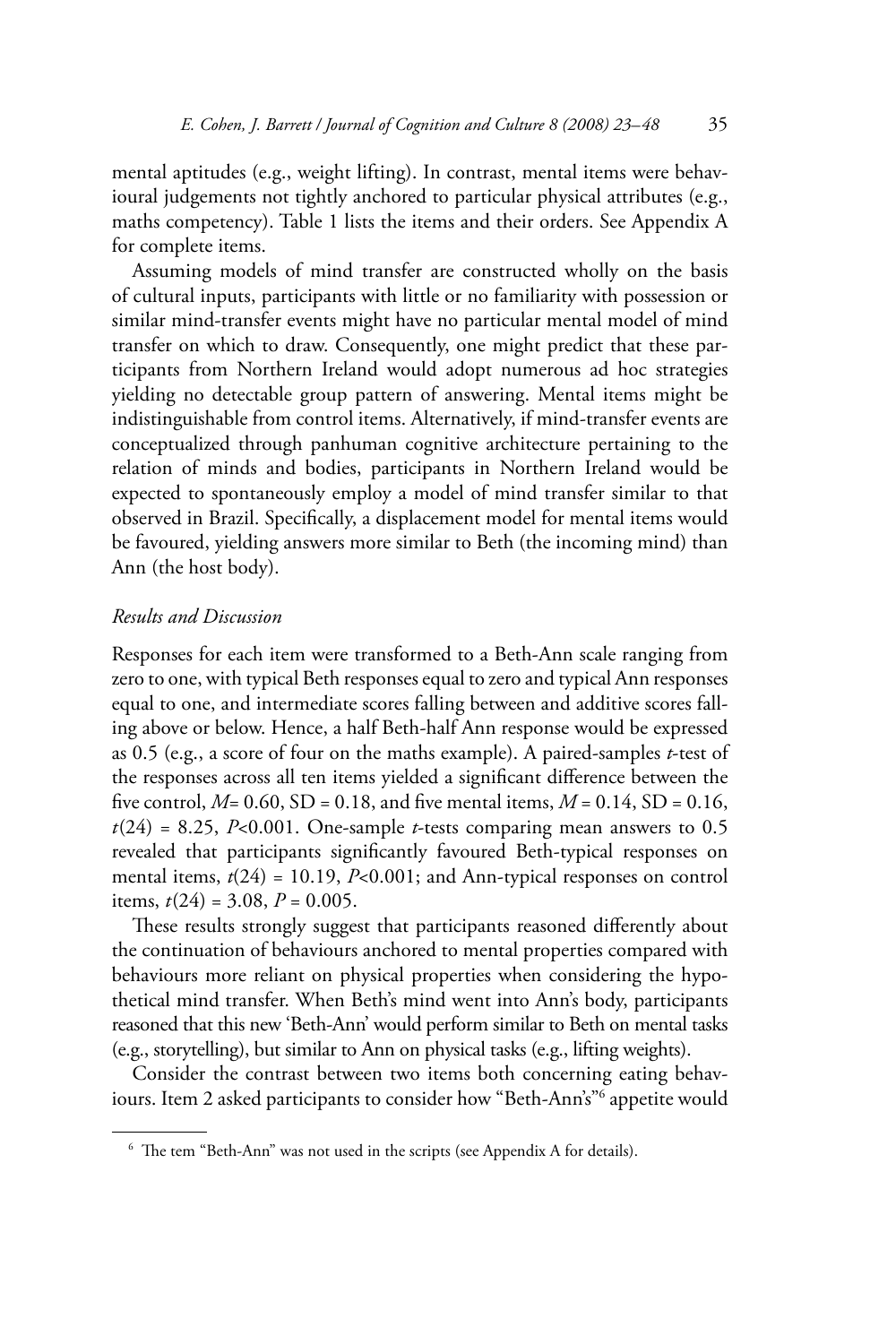mental aptitudes (e.g., weight lifting). In contrast, mental items were behavioural judgements not tightly anchored to particular physical attributes (e.g., maths competency). Table 1 lists the items and their orders. See Appendix A for complete items.

Assuming models of mind transfer are constructed wholly on the basis of cultural inputs, participants with little or no familiarity with possession or similar mind-transfer events might have no particular mental model of mind transfer on which to draw. Consequently, one might predict that these participants from Northern Ireland would adopt numerous ad hoc strategies yielding no detectable group pattern of answering. Mental items might be indistinguishable from control items. Alternatively, if mind-transfer events are conceptualized through panhuman cognitive architecture pertaining to the relation of minds and bodies, participants in Northern Ireland would be expected to spontaneously employ a model of mind transfer similar to that observed in Brazil. Specifically, a displacement model for mental items would be favoured, yielding answers more similar to Beth (the incoming mind) than Ann (the host body).

## Results and Discussion

Responses for each item were transformed to a Beth-Ann scale ranging from zero to one, with typical Beth responses equal to zero and typical Ann responses equal to one, and intermediate scores falling between and additive scores falling above or below. Hence, a half Beth-half Ann response would be expressed as 0.5 (e.g., a score of four on the maths example). A paired-samples t-test of the responses across all ten items yielded a significant difference between the five control,  $M = 0.60$ , SD = 0.18, and five mental items,  $M = 0.14$ , SD = 0.16,  $t(24) = 8.25$ , P<0.001. One-sample t-tests comparing mean answers to 0.5 revealed that participants significantly favoured Beth-typical responses on mental items,  $t(24) = 10.19$ ,  $P<0.001$ ; and Ann-typical responses on control items,  $t(24) = 3.08$ ,  $P = 0.005$ .

These results strongly suggest that participants reasoned differently about the continuation of behaviours anchored to mental properties compared with behaviours more reliant on physical properties when considering the hypothetical mind transfer. When Beth's mind went into Ann's body, participants reasoned that this new 'Beth-Ann' would perform similar to Beth on mental tasks (e.g., storytelling), but similar to Ann on physical tasks (e.g., lifting weights).

Consider the contrast between two items both concerning eating behaviours. Item 2 asked participants to consider how "Beth-Ann's"<sup>6</sup> appetite would

<sup>&</sup>lt;sup>6</sup> The tem "Beth-Ann" was not used in the scripts (see Appendix A for details).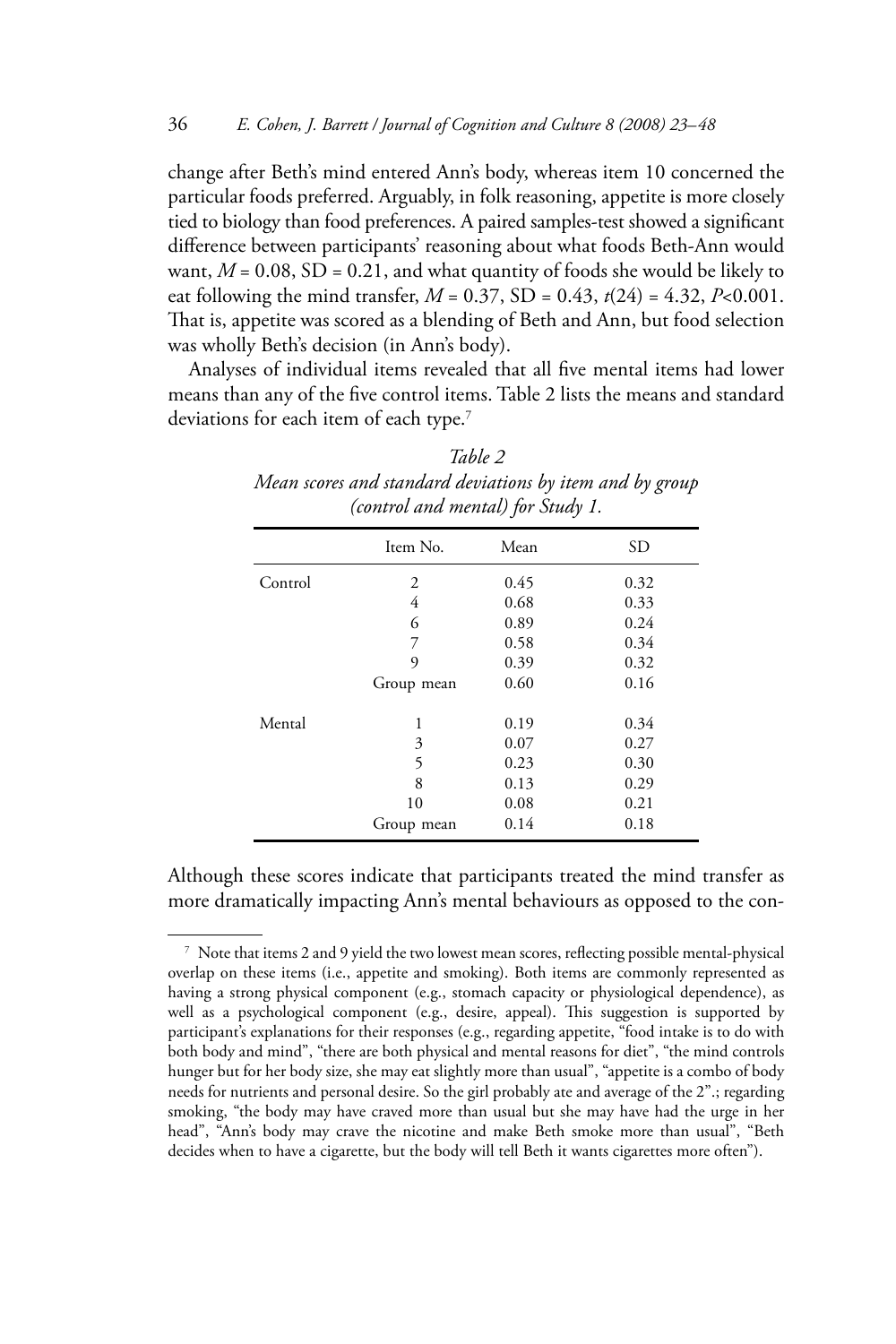change after Beth's mind entered Ann's body, whereas item 10 concerned the particular foods preferred. Arguably, in folk reasoning, appetite is more closely tied to biology than food preferences. A paired samples-test showed a significant difference between participants' reasoning about what foods Beth-Ann would want,  $M = 0.08$ , SD = 0.21, and what quantity of foods she would be likely to eat following the mind transfer,  $M = 0.37$ ,  $SD = 0.43$ ,  $t(24) = 4.32$ ,  $P<0.001$ . That is, appetite was scored as a blending of Beth and Ann, but food selection was wholly Beth's decision (in Ann's body).

Analyses of individual items revealed that all five mental items had lower means than any of the five control items. Table 2 lists the means and standard deviations for each item of each type.<sup>7</sup>

|         | Item No.   | Mean | SD   |
|---------|------------|------|------|
| Control | 2          | 0.45 | 0.32 |
|         | 4          | 0.68 | 0.33 |
|         | 6          | 0.89 | 0.24 |
|         | 7          | 0.58 | 0.34 |
|         | 9          | 0.39 | 0.32 |
|         | Group mean | 0.60 | 0.16 |
| Mental  | 1          | 0.19 | 0.34 |
|         | 3          | 0.07 | 0.27 |
|         | 5          | 0.23 | 0.30 |
|         | 8          | 0.13 | 0.29 |
|         | 10         | 0.08 | 0.21 |
|         | Group mean | 0.14 | 0.18 |

Table 2 Mean scores and standard deviations by item and by group (control and mental) for Study 1.

Although these scores indicate that participants treated the mind transfer as more dramatically impacting Ann's mental behaviours as opposed to the con-

<sup>7</sup> Note that items 2 and 9 yield the two lowest mean scores, reflecting possible mental-physical overlap on these items (i.e., appetite and smoking). Both items are commonly represented as having a strong physical component (e.g., stomach capacity or physiological dependence), as well as a psychological component (e.g., desire, appeal). This suggestion is supported by participant's explanations for their responses (e.g., regarding appetite, "food intake is to do with both body and mind", "there are both physical and mental reasons for diet", "the mind controls hunger but for her body size, she may eat slightly more than usual", "appetite is a combo of body needs for nutrients and personal desire. So the girl probably ate and average of the 2" .; regarding smoking, "the body may have craved more than usual but she may have had the urge in her head", "Ann's body may crave the nicotine and make Beth smoke more than usual", "Beth decides when to have a cigarette, but the body will tell Beth it wants cigarettes more often").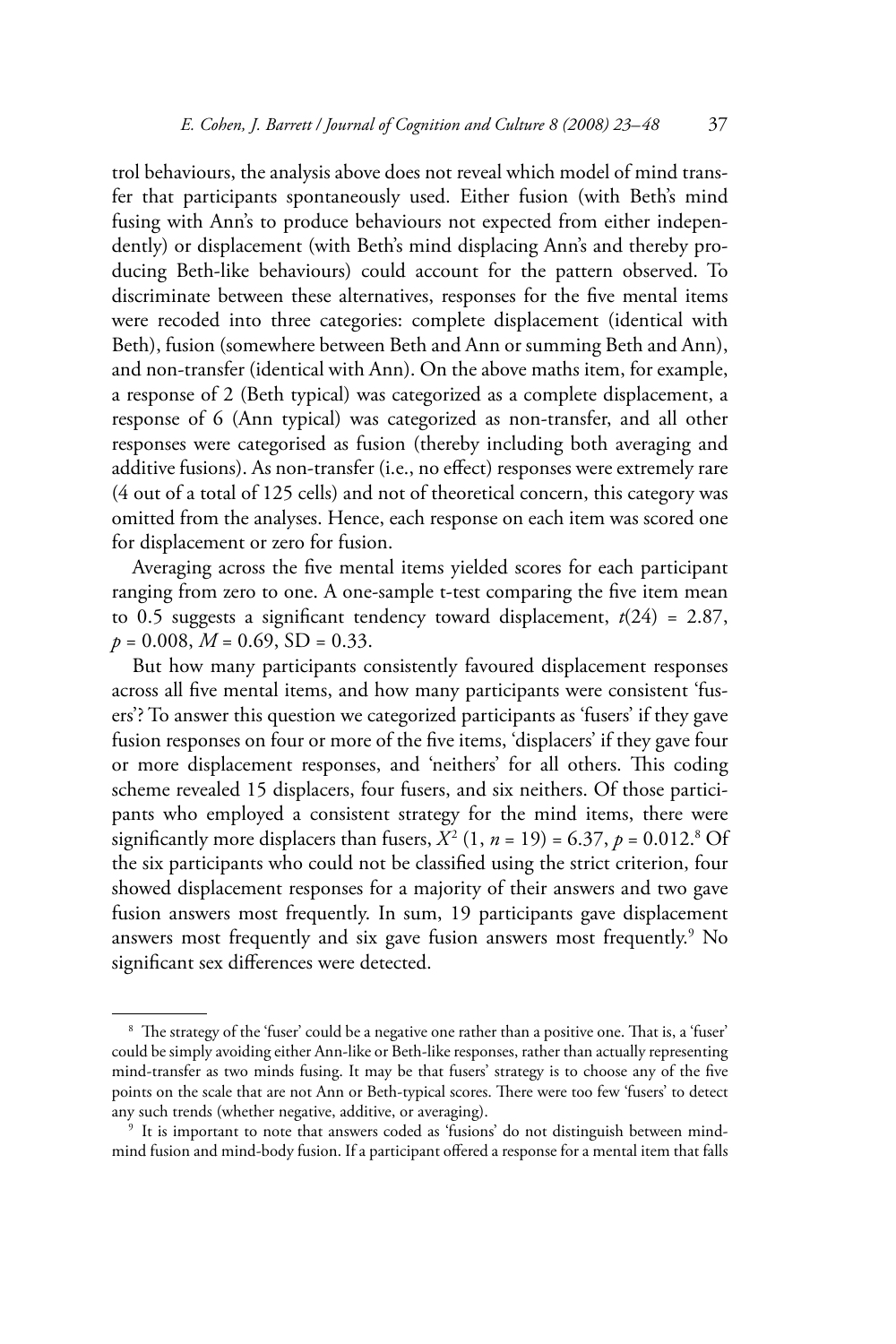trol behaviours, the analysis above does not reveal which model of mind transfer that participants spontaneously used. Either fusion (with Beth's mind fusing with Ann's to produce behaviours not expected from either independently) or displacement (with Beth's mind displacing Ann's and thereby producing Beth-like behaviours) could account for the pattern observed. To discriminate between these alternatives, responses for the five mental items were recoded into three categories: complete displacement (identical with Beth), fusion (somewhere between Beth and Ann or summing Beth and Ann), and non-transfer (identical with Ann). On the above maths item, for example, a response of 2 (Beth typical) was categorized as a complete displacement, a response of 6 (Ann typical) was categorized as non-transfer, and all other responses were categorised as fusion (thereby including both averaging and additive fusions). As non-transfer (i.e., no effect) responses were extremely rare (4 out of a total of 125 cells) and not of theoretical concern, this category was omitted from the analyses. Hence, each response on each item was scored one for displacement or zero for fusion.

Averaging across the five mental items yielded scores for each participant ranging from zero to one. A one-sample t-test comparing the five item mean to 0.5 suggests a significant tendency toward displacement,  $t(24) = 2.87$ ,  $p = 0.008, M = 0.69, SD = 0.33.$ 

But how many participants consistently favoured displacement responses across all five mental items, and how many participants were consistent 'fusers'? To answer this question we categorized participants as 'fusers' if they gave fusion responses on four or more of the five items, 'displacers' if they gave four or more displacement responses, and 'neithers' for all others. This coding scheme revealed 15 displacers, four fusers, and six neithers. Of those participants who employed a consistent strategy for the mind items, there were significantly more displacers than fusers,  $X^2$  (1,  $n = 19$ ) = 6.37,  $p = 0.012$ .<sup>8</sup> Of the six participants who could not be classified using the strict criterion, four showed displacement responses for a majority of their answers and two gave fusion answers most frequently. In sum, 19 participants gave displacement answers most frequently and six gave fusion answers most frequently.<sup>9</sup> No significant sex differences were detected.

<sup>&</sup>lt;sup>8</sup> The strategy of the 'fuser' could be a negative one rather than a positive one. That is, a 'fuser' could be simply avoiding either Ann-like or Beth-like responses, rather than actually representing mind-transfer as two minds fusing. It may be that fusers' strategy is to choose any of the five points on the scale that are not Ann or Beth-typical scores. There were too few 'fusers' to detect any such trends (whether negative, additive, or averaging).

<sup>&</sup>lt;sup>9</sup> It is important to note that answers coded as 'fusions' do not distinguish between mindmind fusion and mind-body fusion. If a participant offered a response for a mental item that falls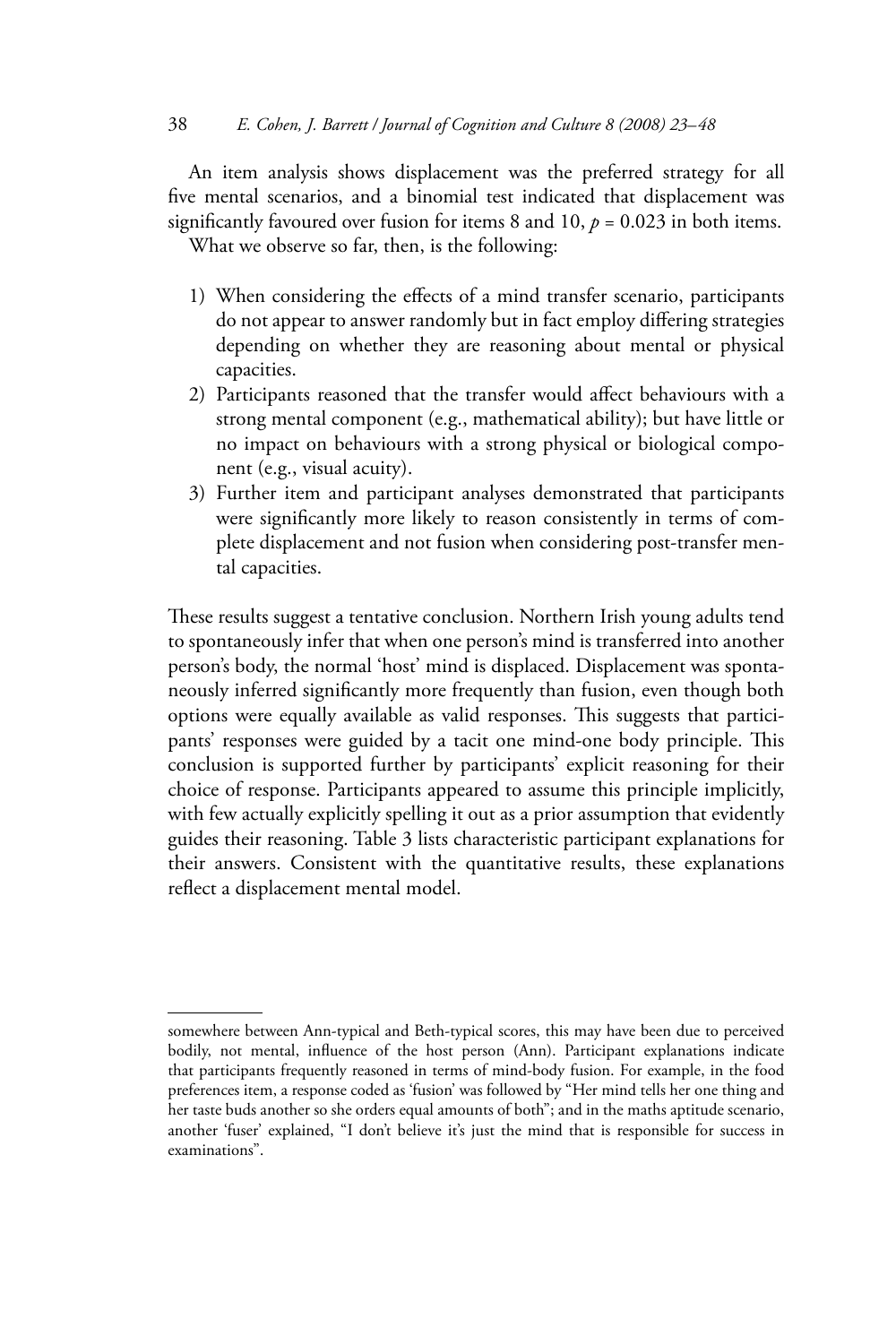An item analysis shows displacement was the preferred strategy for all five mental scenarios, and a binomial test indicated that displacement was significantly favoured over fusion for items 8 and 10,  $p = 0.023$  in both items.

What we observe so far, then, is the following:

- 1) When considering the effects of a mind transfer scenario, participants do not appear to answer randomly but in fact employ differing strategies depending on whether they are reasoning about mental or physical capacities.
- 2) Participants reasoned that the transfer would affect behaviours with a strong mental component (e.g., mathematical ability); but have little or no impact on behaviours with a strong physical or biological component (e.g., visual acuity).
- 3) Further item and participant analyses demonstrated that participants were significantly more likely to reason consistently in terms of complete displacement and not fusion when considering post-transfer mental capacities.

These results suggest a tentative conclusion. Northern Irish young adults tend to spontaneously infer that when one person's mind is transferred into another person's body, the normal 'host' mind is displaced. Displacement was spontaneously inferred significantly more frequently than fusion, even though both options were equally available as valid responses. This suggests that participants' responses were guided by a tacit one mind-one body principle. This conclusion is supported further by participants' explicit reasoning for their choice of response. Participants appeared to assume this principle implicitly, with few actually explicitly spelling it out as a prior assumption that evidently guides their reasoning. Table 3 lists characteristic participant explanations for their answers. Consistent with the quantitative results, these explanations reflect a displacement mental model.

somewhere between Ann-typical and Beth-typical scores, this may have been due to perceived bodily, not mental, influence of the host person (Ann). Participant explanations indicate that participants frequently reasoned in terms of mind-body fusion. For example, in the food preferences item, a response coded as 'fusion' was followed by "Her mind tells her one thing and her taste buds another so she orders equal amounts of both"; and in the maths aptitude scenario, another 'fuser' explained, "I don't believe it's just the mind that is responsible for success in examinations".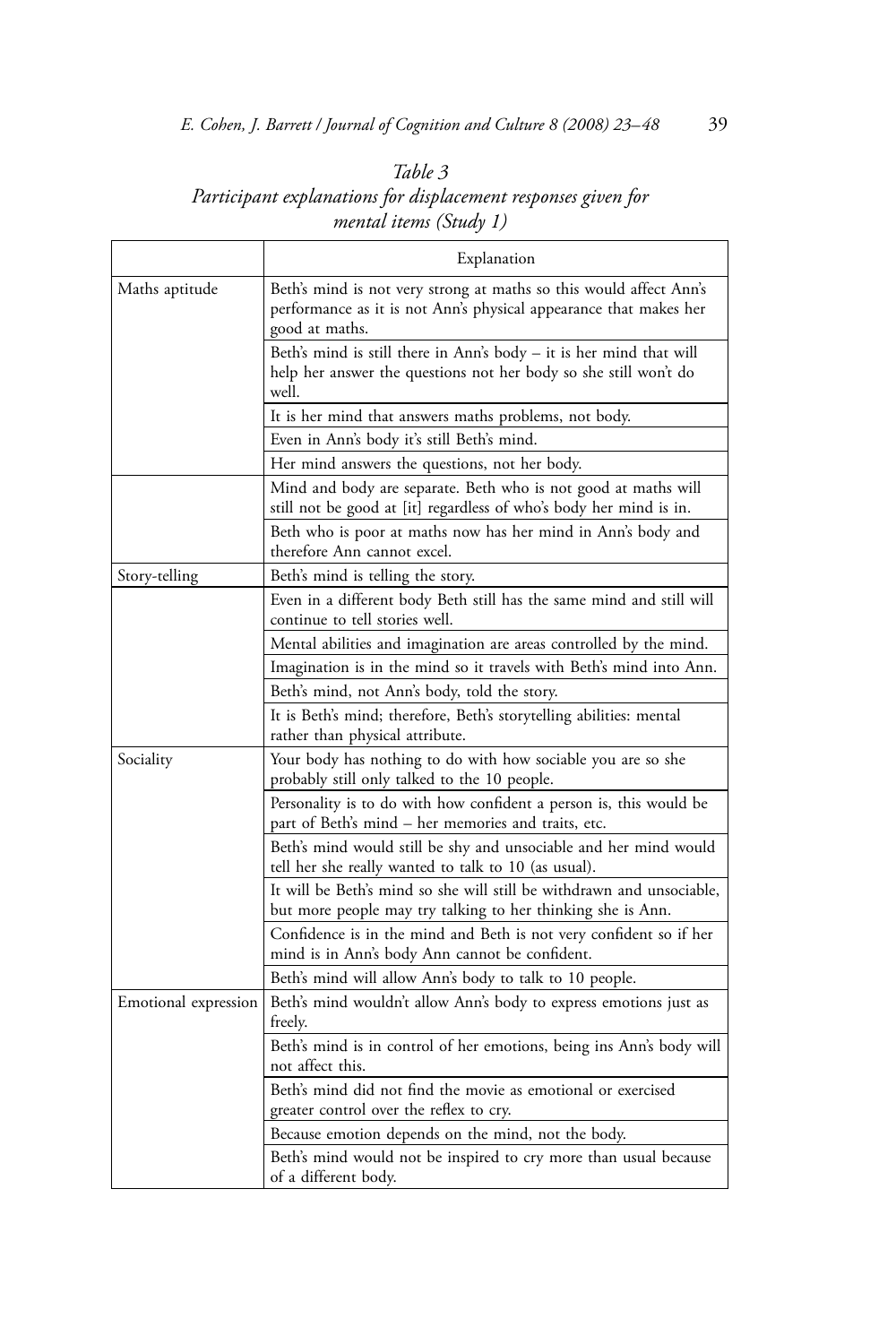Table 3 Participant explanations for displacement responses given for mental items (Study 1)

|                      | Explanation                                                                                                                                               |  |  |  |  |
|----------------------|-----------------------------------------------------------------------------------------------------------------------------------------------------------|--|--|--|--|
| Maths aptitude       | Beth's mind is not very strong at maths so this would affect Ann's<br>performance as it is not Ann's physical appearance that makes her<br>good at maths. |  |  |  |  |
|                      | Beth's mind is still there in Ann's body - it is her mind that will<br>help her answer the questions not her body so she still won't do<br>well.          |  |  |  |  |
|                      | It is her mind that answers maths problems, not body.                                                                                                     |  |  |  |  |
|                      | Even in Ann's body it's still Beth's mind.                                                                                                                |  |  |  |  |
|                      | Her mind answers the questions, not her body.                                                                                                             |  |  |  |  |
|                      | Mind and body are separate. Beth who is not good at maths will<br>still not be good at [it] regardless of who's body her mind is in.                      |  |  |  |  |
|                      | Beth who is poor at maths now has her mind in Ann's body and<br>therefore Ann cannot excel.                                                               |  |  |  |  |
| Story-telling        | Beth's mind is telling the story.                                                                                                                         |  |  |  |  |
|                      | Even in a different body Beth still has the same mind and still will<br>continue to tell stories well.                                                    |  |  |  |  |
|                      | Mental abilities and imagination are areas controlled by the mind.                                                                                        |  |  |  |  |
|                      | Imagination is in the mind so it travels with Beth's mind into Ann.                                                                                       |  |  |  |  |
|                      | Beth's mind, not Ann's body, told the story.                                                                                                              |  |  |  |  |
|                      | It is Beth's mind; therefore, Beth's storytelling abilities: mental<br>rather than physical attribute.                                                    |  |  |  |  |
| Sociality            | Your body has nothing to do with how sociable you are so she<br>probably still only talked to the 10 people.                                              |  |  |  |  |
|                      | Personality is to do with how confident a person is, this would be<br>part of Beth's mind – her memories and traits, etc.                                 |  |  |  |  |
|                      | Beth's mind would still be shy and unsociable and her mind would<br>tell her she really wanted to talk to 10 (as usual).                                  |  |  |  |  |
|                      | It will be Beth's mind so she will still be withdrawn and unsociable,<br>but more people may try talking to her thinking she is Ann.                      |  |  |  |  |
|                      | Confidence is in the mind and Beth is not very confident so if her<br>mind is in Ann's body Ann cannot be confident.                                      |  |  |  |  |
|                      | Beth's mind will allow Ann's body to talk to 10 people.                                                                                                   |  |  |  |  |
| Emotional expression | Beth's mind wouldn't allow Ann's body to express emotions just as<br>freely.                                                                              |  |  |  |  |
|                      | Beth's mind is in control of her emotions, being ins Ann's body will<br>not affect this.                                                                  |  |  |  |  |
|                      | Beth's mind did not find the movie as emotional or exercised<br>greater control over the reflex to cry.                                                   |  |  |  |  |
|                      | Because emotion depends on the mind, not the body.                                                                                                        |  |  |  |  |
|                      | Beth's mind would not be inspired to cry more than usual because<br>of a different body.                                                                  |  |  |  |  |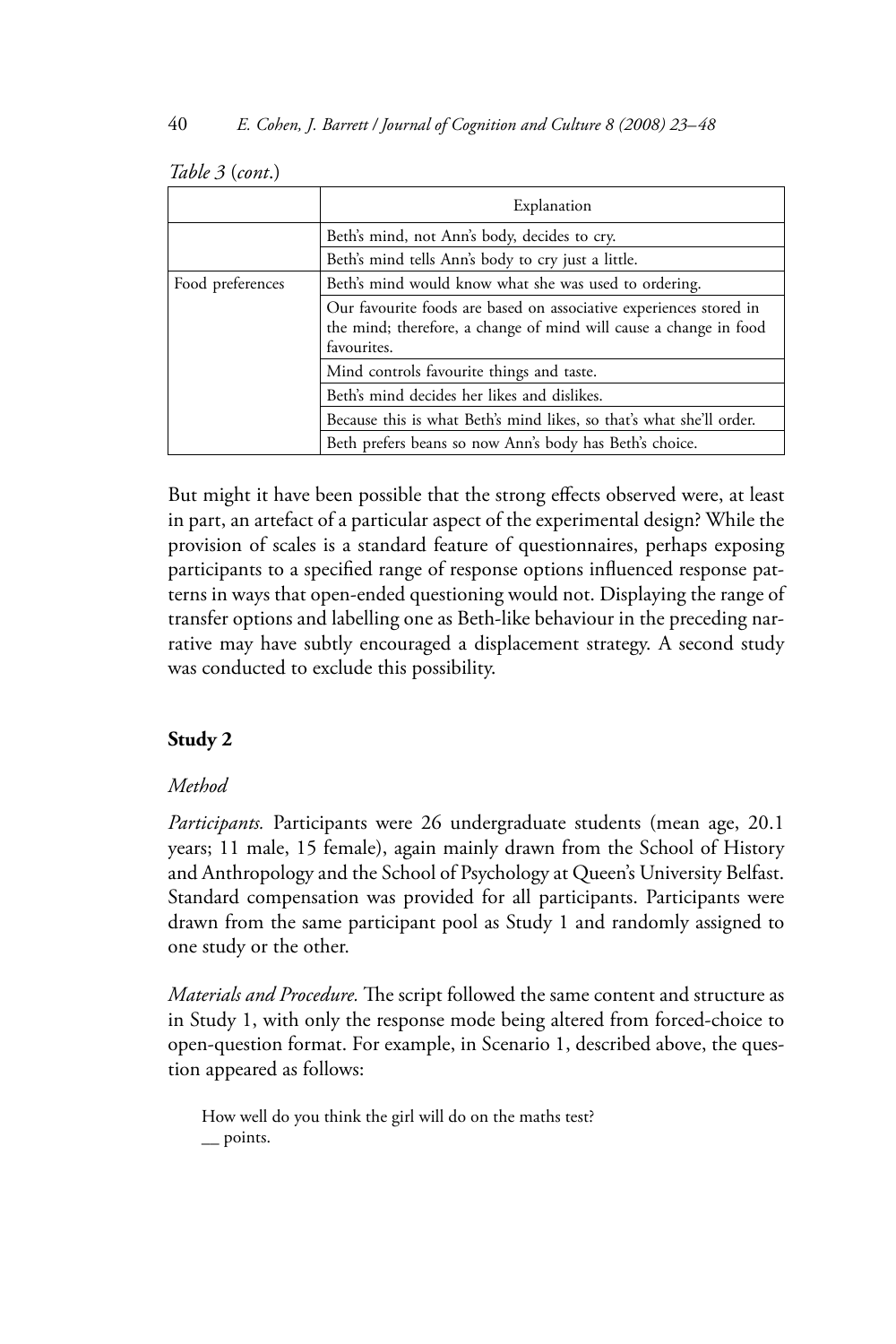|                  | Explanation                                                                                                                                            |  |  |  |
|------------------|--------------------------------------------------------------------------------------------------------------------------------------------------------|--|--|--|
|                  | Beth's mind, not Ann's body, decides to cry.                                                                                                           |  |  |  |
|                  | Beth's mind tells Ann's body to cry just a little.                                                                                                     |  |  |  |
| Food preferences | Beth's mind would know what she was used to ordering.                                                                                                  |  |  |  |
|                  | Our favourite foods are based on associative experiences stored in<br>the mind; therefore, a change of mind will cause a change in food<br>favourites. |  |  |  |
|                  | Mind controls favourite things and taste.                                                                                                              |  |  |  |
|                  | Beth's mind decides her likes and dislikes.                                                                                                            |  |  |  |
|                  | Because this is what Beth's mind likes, so that's what she'll order.                                                                                   |  |  |  |
|                  | Beth prefers beans so now Ann's body has Beth's choice.                                                                                                |  |  |  |

Table 3 (cont.)

But might it have been possible that the strong effects observed were, at least in part, an artefact of a particular aspect of the experimental design? While the provision of scales is a standard feature of questionnaires, perhaps exposing participants to a specified range of response options influenced response patterns in ways that open-ended questioning would not. Displaying the range of transfer options and labelling one as Beth-like behaviour in the preceding narrative may have subtly encouraged a displacement strategy. A second study was conducted to exclude this possibility.

## Study 2

## Method

Participants. Participants were 26 undergraduate students (mean age, 20.1 years; 11 male, 15 female), again mainly drawn from the School of History and Anthropology and the School of Psychology at Queen's University Belfast. Standard compensation was provided for all participants. Participants were drawn from the same participant pool as Study 1 and randomly assigned to one study or the other.

Materials and Procedure. The script followed the same content and structure as in Study 1, with only the response mode being altered from forced-choice to open-question format. For example, in Scenario 1, described above, the question appeared as follows:

How well do you think the girl will do on the maths test?  $\equiv$  points.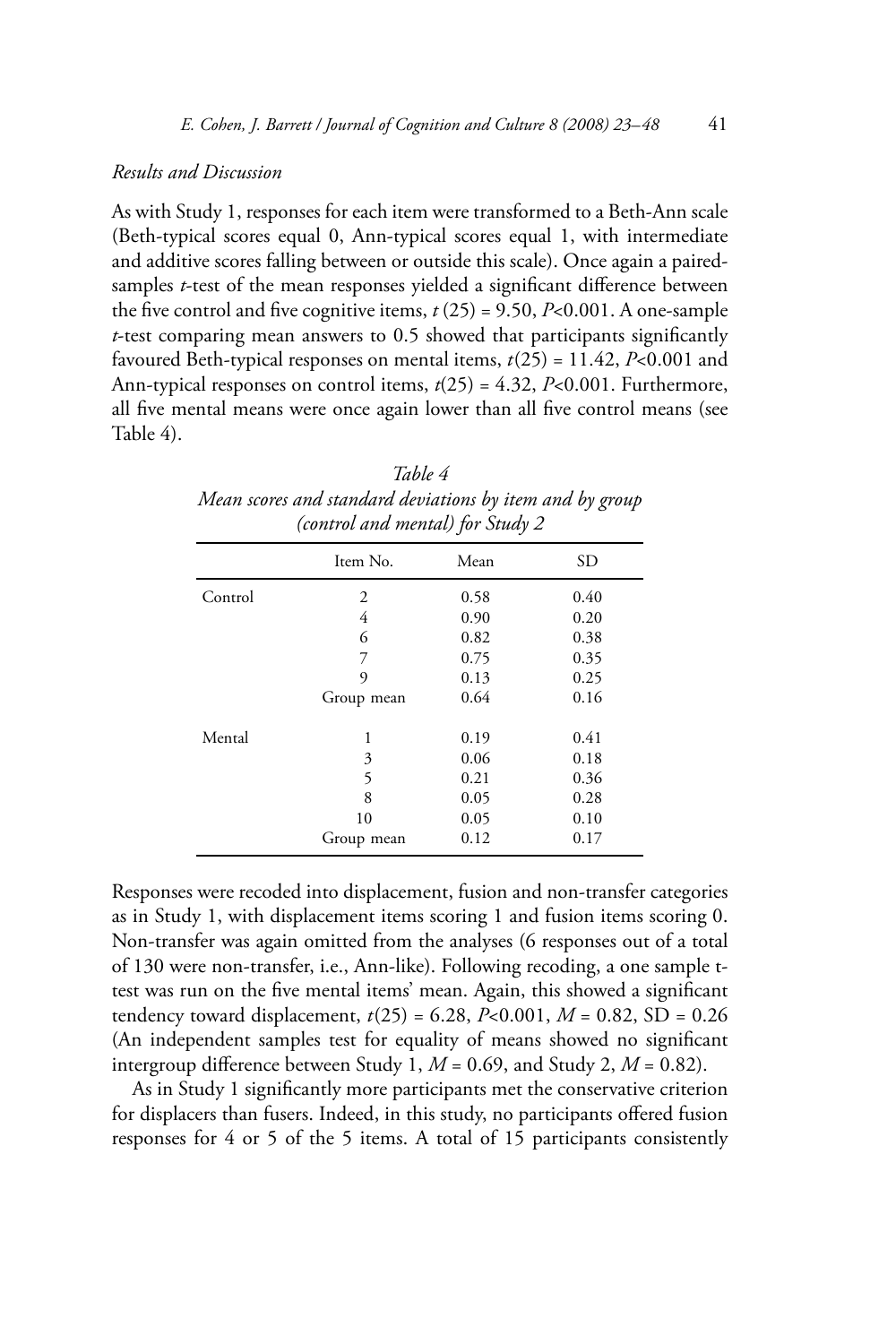#### Results and Discussion

As with Study 1, responses for each item were transformed to a Beth-Ann scale (Beth-typical scores equal 0, Ann-typical scores equal 1, with intermediate and additive scores falling between or outside this scale). Once again a pairedsamples *t*-test of the mean responses yielded a significant difference between the five control and five cognitive items,  $t(25) = 9.50$ ,  $P<0.001$ . A one-sample  $t$ -test comparing mean answers to 0.5 showed that participants significantly favoured Beth-typical responses on mental items,  $t(25) = 11.42$ ,  $P<0.001$  and Ann-typical responses on control items,  $t(25) = 4.32$ ,  $P<0.001$ . Furthermore, all five mental means were once again lower than all five control means (see Table 4).

| (controi ana mentai) for Stuay 2 |            |      |           |
|----------------------------------|------------|------|-----------|
|                                  | Item No.   | Mean | <b>SD</b> |
| Control                          | 2          | 0.58 | 0.40      |
|                                  | 4          | 0.90 | 0.20      |
|                                  | 6          | 0.82 | 0.38      |
|                                  | 7          | 0.75 | 0.35      |
|                                  | 9          | 0.13 | 0.25      |
|                                  | Group mean | 0.64 | 0.16      |
| Mental                           | 1          | 0.19 | 0.41      |
|                                  | 3          | 0.06 | 0.18      |
|                                  | 5          | 0.21 | 0.36      |
|                                  | 8          | 0.05 | 0.28      |
|                                  | 10         | 0.05 | 0.10      |
|                                  | Group mean | 0.12 | 0.17      |

Table 4 Mean scores and standard deviations by item and by group<br>(control and mental) for Study 2

Responses were recoded into displacement, fusion and non-transfer categories as in Study 1, with displacement items scoring 1 and fusion items scoring 0. Non-transfer was again omitted from the analyses (6 responses out of a total of 130 were non-transfer, i.e., Ann-like). Following recoding, a one sample ttest was run on the five mental items' mean. Again, this showed a significant tendency toward displacement,  $t(25) = 6.28$ ,  $P<0.001$ ,  $M = 0.82$ ,  $SD = 0.26$ (An independent samples test for equality of means showed no significant intergroup difference between Study 1,  $M = 0.69$ , and Study 2,  $M = 0.82$ ).

As in Study 1 significantly more participants met the conservative criterion for displacers than fusers. Indeed, in this study, no participants offered fusion responses for 4 or 5 of the 5 items. A total of 15 participants consistently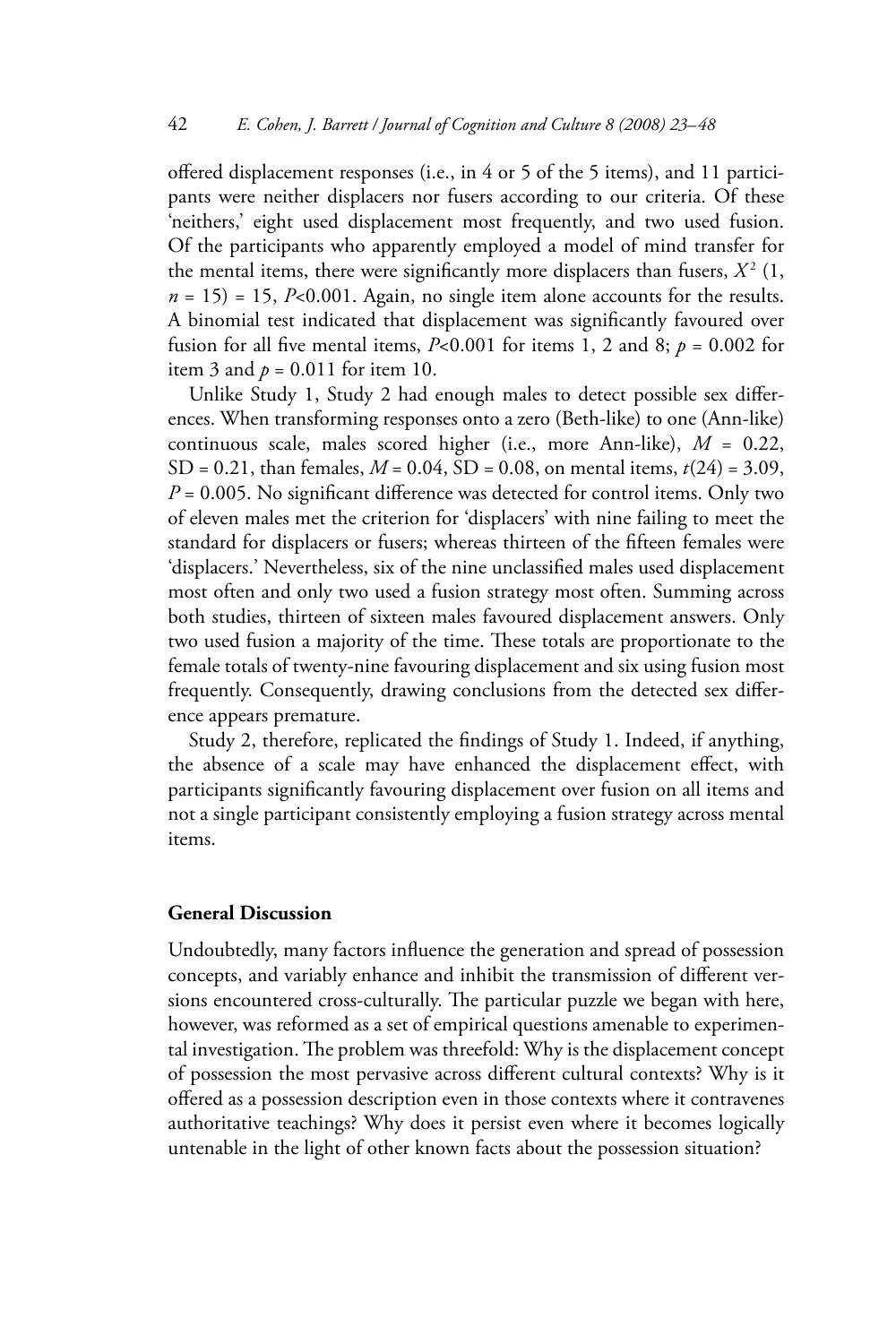offered displacement responses (i.e., in 4 or 5 of the 5 items), and 11 participants were neither displacers nor fusers according to our criteria. Of these 'neithers,' eight used displacement most frequently, and two used fusion. Of the participants who apparently employed a model of mind transfer for the mental items, there were significantly more displacers than fusers,  $X^2$  (1,  $n = 15$  = 15, P<0.001. Again, no single item alone accounts for the results. A binomial test indicated that displacement was significantly favoured over fusion for all five mental items,  $P<0.001$  for items 1, 2 and 8;  $p = 0.002$  for item 3 and  $p = 0.011$  for item 10.

Unlike Study 1, Study 2 had enough males to detect possible sex differences. When transforming responses onto a zero (Beth-like) to one (Ann-like) continuous scale, males scored higher (i.e., more Ann-like),  $M = 0.22$ , SD = 0.21, than females,  $M = 0.04$ , SD = 0.08, on mental items,  $t(24) = 3.09$ ,  $P = 0.005$ . No significant difference was detected for control items. Only two of eleven males met the criterion for 'displacers' with nine failing to meet the standard for displacers or fusers; whereas thirteen of the fifteen females were 'displacers.' Nevertheless, six of the nine unclassified males used displacement most often and only two used a fusion strategy most often. Summing across both studies, thirteen of sixteen males favoured displacement answers. Only two used fusion a majority of the time. These totals are proportionate to the female totals of twenty-nine favouring displacement and six using fusion most frequently. Consequently, drawing conclusions from the detected sex difference appears premature.

Study 2, therefore, replicated the findings of Study 1. Indeed, if anything, the absence of a scale may have enhanced the displacement effect, with participants significantly favouring displacement over fusion on all items and not a single participant consistently employing a fusion strategy across mental items.

## **General Discussion**

Undoubtedly, many factors influence the generation and spread of possession concepts, and variably enhance and inhibit the transmission of different versions encountered cross-culturally. The particular puzzle we began with here, however, was reformed as a set of empirical questions amenable to experimental investigation. The problem was threefold: Why is the displacement concept of possession the most pervasive across different cultural contexts? Why is it offered as a possession description even in those contexts where it contravenes authoritative teachings? Why does it persist even where it becomes logically untenable in the light of other known facts about the possession situation?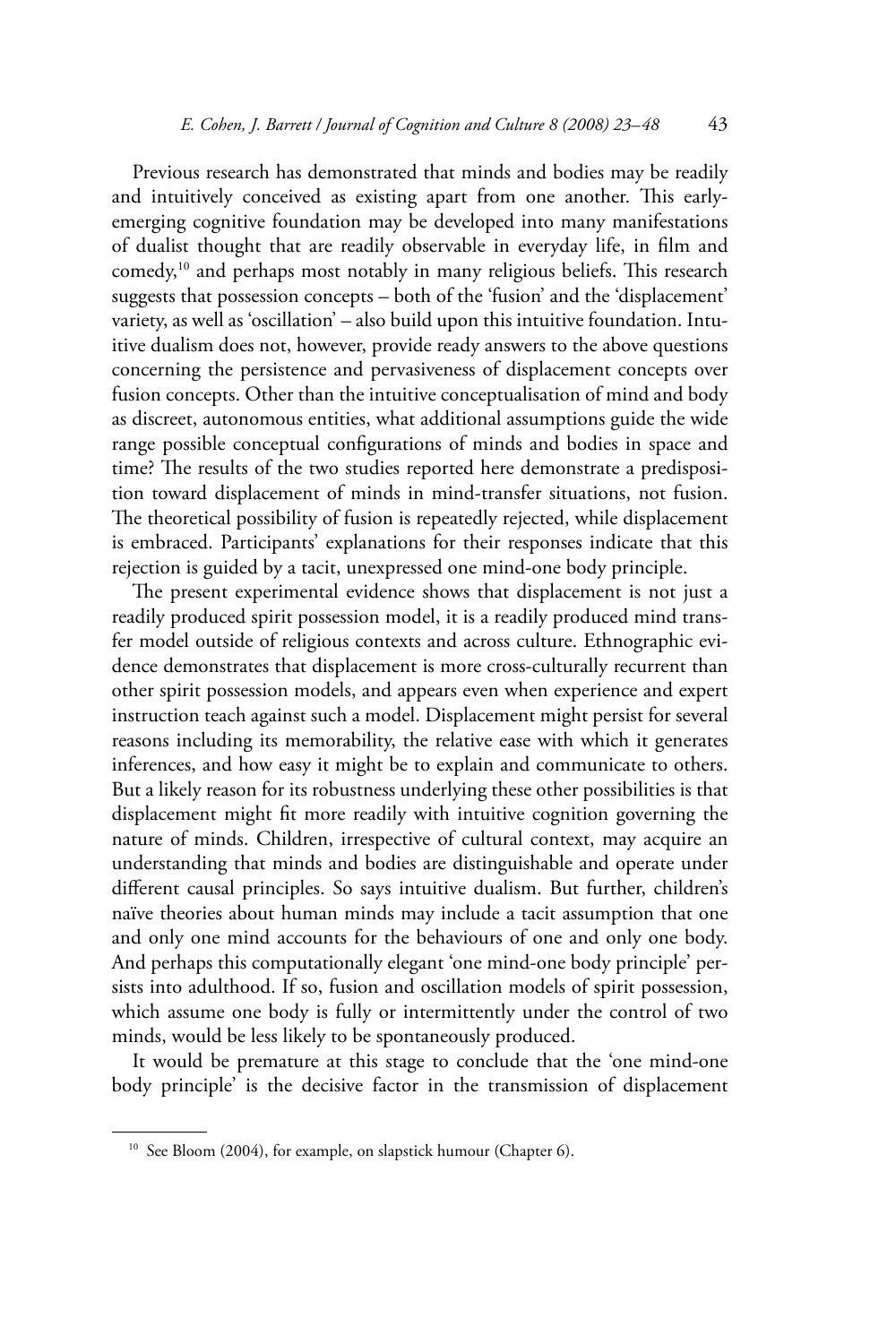Previous research has demonstrated that minds and bodies may be readily and intuitively conceived as existing apart from one another. This earlyemerging cognitive foundation may be developed into many manifestations of dualist thought that are readily observable in everyday life, in film and comedy,<sup>10</sup> and perhaps most notably in many religious beliefs. This research suggests that possession concepts – both of the 'fusion' and the 'displacement' variety, as well as 'oscillation' - also build upon this intuitive foundation. Intuitive dualism does not, however, provide ready answers to the above questions concerning the persistence and pervasiveness of displacement concepts over fusion concepts. Other than the intuitive conceptualisation of mind and body as discreet, autonomous entities, what additional assumptions guide the wide range possible conceptual configurations of minds and bodies in space and time? The results of the two studies reported here demonstrate a predisposition toward displacement of minds in mind-transfer situations, not fusion. The theoretical possibility of fusion is repeatedly rejected, while displacement is embraced. Participants' explanations for their responses indicate that this rejection is guided by a tacit, unexpressed one mind-one body principle.

The present experimental evidence shows that displacement is not just a readily produced spirit possession model, it is a readily produced mind transfer model outside of religious contexts and across culture. Ethnographic evidence demonstrates that displacement is more cross-culturally recurrent than other spirit possession models, and appears even when experience and expert instruction teach against such a model. Displacement might persist for several reasons including its memorability, the relative ease with which it generates inferences, and how easy it might be to explain and communicate to others. But a likely reason for its robustness underlying these other possibilities is that displacement might fit more readily with intuitive cognition governing the nature of minds. Children, irrespective of cultural context, may acquire an understanding that minds and bodies are distinguishable and operate under different causal principles. So says intuitive dualism. But further, children's naïve theories about human minds may include a tacit assumption that one and only one mind accounts for the behaviours of one and only one body. And perhaps this computationally elegant 'one mind-one body principle' persists into adulthood. If so, fusion and oscillation models of spirit possession, which assume one body is fully or intermittently under the control of two minds, would be less likely to be spontaneously produced.

It would be premature at this stage to conclude that the 'one mind-one body principle' is the decisive factor in the transmission of displacement

<sup>&</sup>lt;sup>10</sup> See Bloom (2004), for example, on slapstick humour (Chapter 6).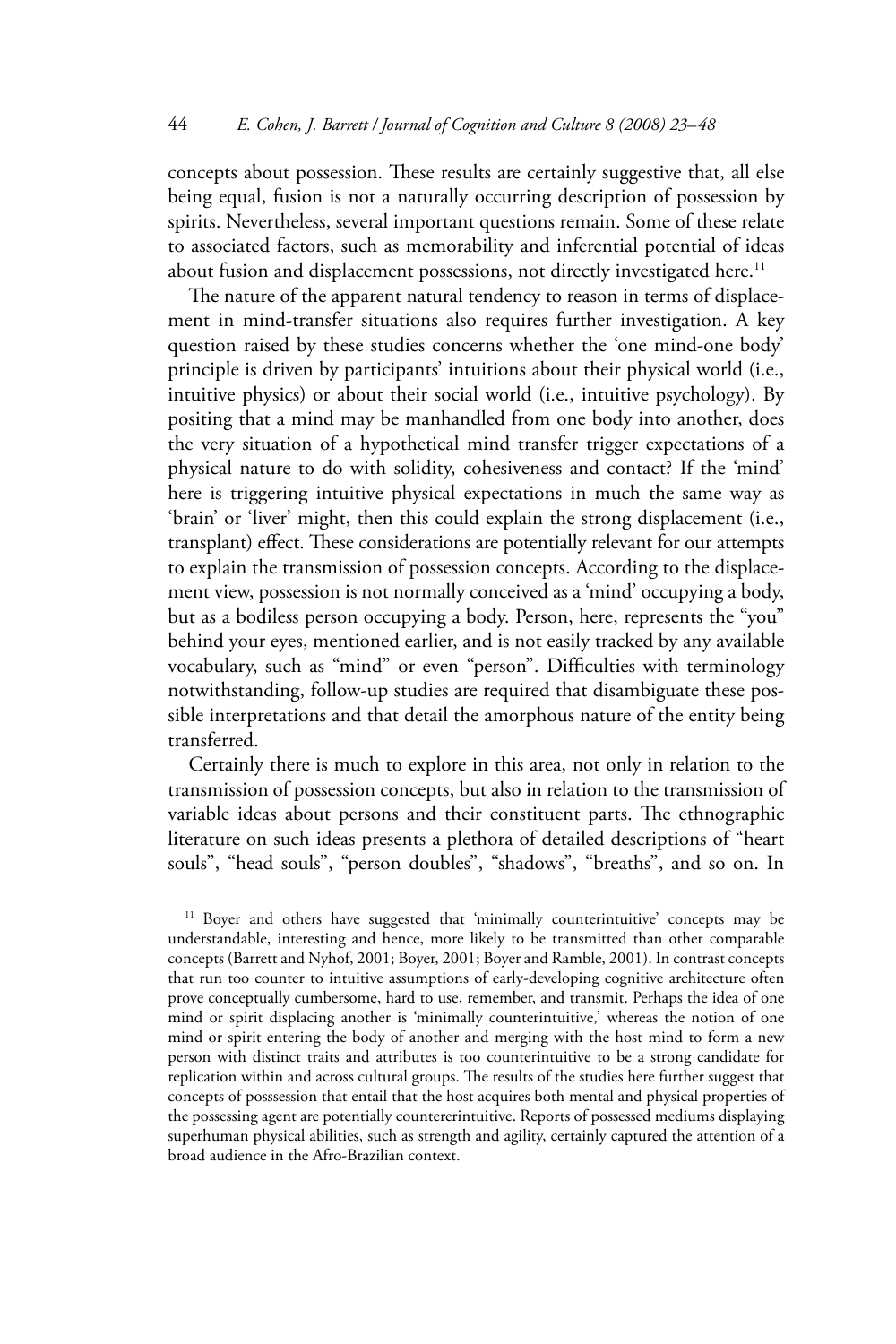concepts about possession. These results are certainly suggestive that, all else being equal, fusion is not a naturally occurring description of possession by spirits. Nevertheless, several important questions remain. Some of these relate to associated factors, such as memorability and inferential potential of ideas about fusion and displacement possessions, not directly investigated here.<sup>11</sup>

The nature of the apparent natural tendency to reason in terms of displacement in mind-transfer situations also requires further investigation. A key question raised by these studies concerns whether the 'one mind-one body' principle is driven by participants' intuitions about their physical world (i.e., intuitive physics) or about their social world (i.e., intuitive psychology). By positing that a mind may be manhandled from one body into another, does the very situation of a hypothetical mind transfer trigger expectations of a physical nature to do with solidity, cohesiveness and contact? If the 'mind' here is triggering intuitive physical expectations in much the same way as 'brain' or 'liver' might, then this could explain the strong displacement (i.e., transplant) effect. These considerations are potentially relevant for our attempts to explain the transmission of possession concepts. According to the displacement view, possession is not normally conceived as a 'mind' occupying a body, but as a bodiless person occupying a body. Person, here, represents the "you" behind your eyes, mentioned earlier, and is not easily tracked by any available vocabulary, such as "mind" or even "person". Difficulties with terminology notwithstanding, follow-up studies are required that disambiguate these possible interpretations and that detail the amorphous nature of the entity being transferred

Certainly there is much to explore in this area, not only in relation to the transmission of possession concepts, but also in relation to the transmission of variable ideas about persons and their constituent parts. The ethnographic literature on such ideas presents a plethora of detailed descriptions of "heart souls", "head souls", "person doubles", "shadows", "breaths", and so on. In

<sup>&</sup>lt;sup>11</sup> Boyer and others have suggested that 'minimally counterintuitive' concepts may be understandable, interesting and hence, more likely to be transmitted than other comparable concepts (Barrett and Nyhof, 2001; Boyer, 2001; Boyer and Ramble, 2001). In contrast concepts that run too counter to intuitive assumptions of early-developing cognitive architecture often prove conceptually cumbersome, hard to use, remember, and transmit. Perhaps the idea of one mind or spirit displacing another is 'minimally counterintuitive,' whereas the notion of one mind or spirit entering the body of another and merging with the host mind to form a new person with distinct traits and attributes is too counterintuitive to be a strong candidate for replication within and across cultural groups. The results of the studies here further suggest that concepts of posssession that entail that the host acquires both mental and physical properties of the possessing agent are potentially countererintuitive. Reports of possessed mediums displaying superhuman physical abilities, such as strength and agility, certainly captured the attention of a broad audience in the Afro-Brazilian context.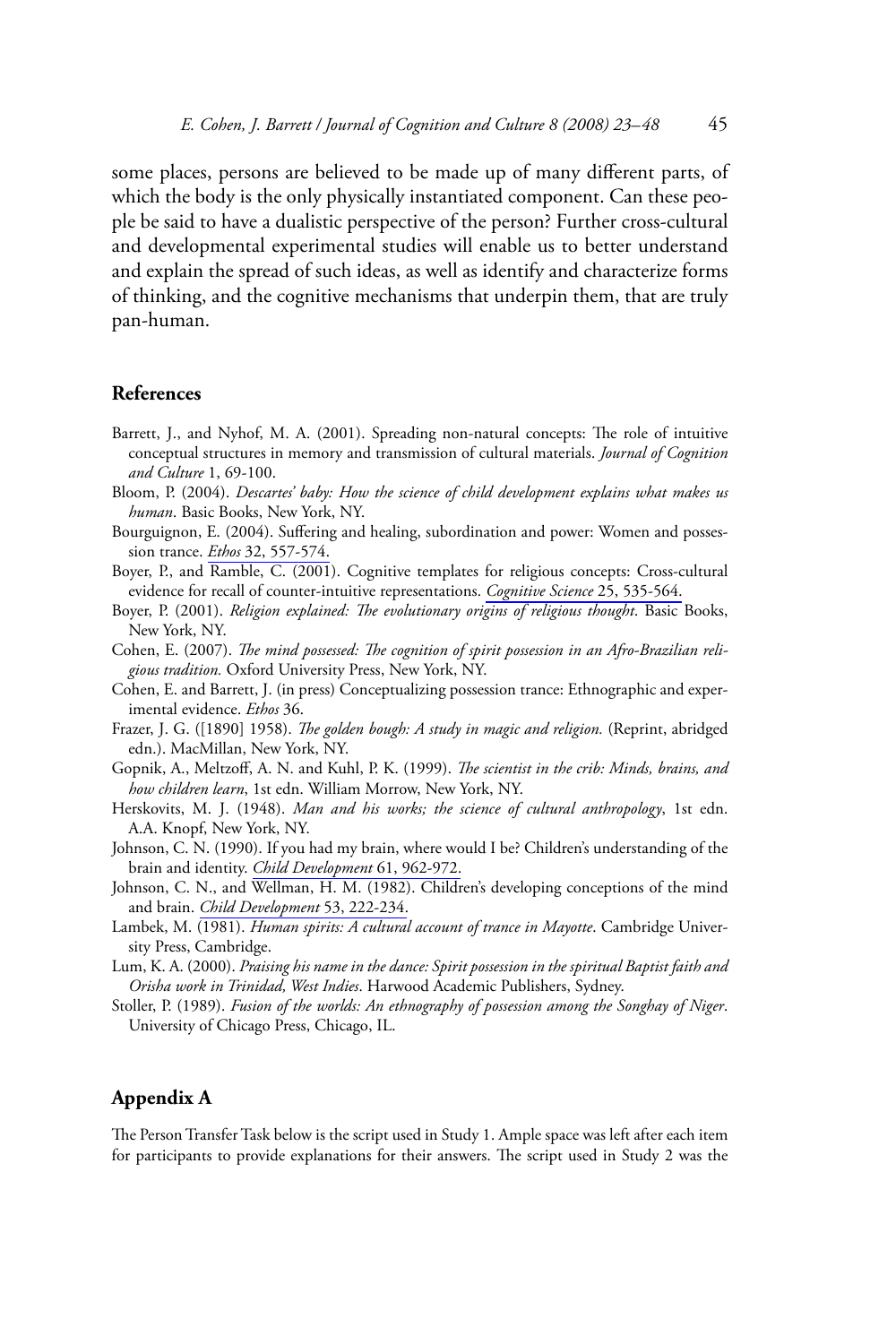some places, persons are believed to be made up of many different parts, of which the body is the only physically instantiated component. Can these people be said to have a dualistic perspective of the person? Further cross-cultural and developmental experimental studies will enable us to better understand and explain the spread of such ideas, as well as identify and characterize forms of thinking, and the cognitive mechanisms that underpin them, that are truly pan-human.

## References

- Barrett, J., and Nyhof, M. A. (2001). Spreading non-natural concepts: The role of intuitive conceptual structures in memory and transmission of cultural materials. Journal of Cognition and Culture  $1, 69-100$ .
- Bloom, P. (2004). Descartes' baby: How the science of child development explains what makes us human. Basic Books, New York, NY.
- Bourguignon, E. (2004). Suffering and healing, subordination and power: Women and possession trance. Ethos 32, 557-574.
- Boyer, P., and Ramble, C. (2001). Cognitive templates for religious concepts: Cross-cultural evidence for recall of counter-intuitive representations. Cognitive Science 25, 535-564.
- Boyer, P. (2001). Religion explained: The evolutionary origins of religious thought. Basic Books, New York, NY.
- Cohen, E. (2007). The mind possessed: The cognition of spirit possession in an Afro-Brazilian religious tradition. Oxford University Press, New York, NY.
- Cohen, E. and Barrett, J. (in press) Conceptualizing possession trance: Ethnographic and experimental evidence. Ethos 36.
- Frazer, J. G. ([1890] 1958). The golden bough: A study in magic and religion. (Reprint, abridged edn.). MacMillan, New York, NY.
- Gopnik, A., Meltzoff, A. N. and Kuhl, P. K. (1999). The scientist in the crib: Minds, brains, and how children learn, 1st edn. William Morrow, New York, NY.
- Herskovits, M. J. (1948). Man and his works; the science of cultural anthropology, 1st edn. A.A. Knopf, New York, NY.
- Johnson, C. N. (1990). If you had my brain, where would I be? Children's understanding of the brain and identity. Child Development 61, 962-972.
- Johnson, C. N., and Wellman, H. M. (1982). Children's developing conceptions of the mind and brain. Child Development 53, 222-234.
- Lambek, M. (1981). Human spirits: A cultural account of trance in Mayotte. Cambridge University Press, Cambridge.
- Lum, K. A. (2000). Praising his name in the dance: Spirit possession in the spiritual Baptist faith and Orisha work in Trinidad, West Indies. Harwood Academic Publishers, Sydney.
- Stoller, P. (1989). Fusion of the worlds: An ethnography of possession among the Songhay of Niger. University of Chicago Press, Chicago, IL.

## Appendix A

The Person Transfer Task below is the script used in Study 1. Ample space was left after each item for participants to provide explanations for their answers. The script used in Study 2 was the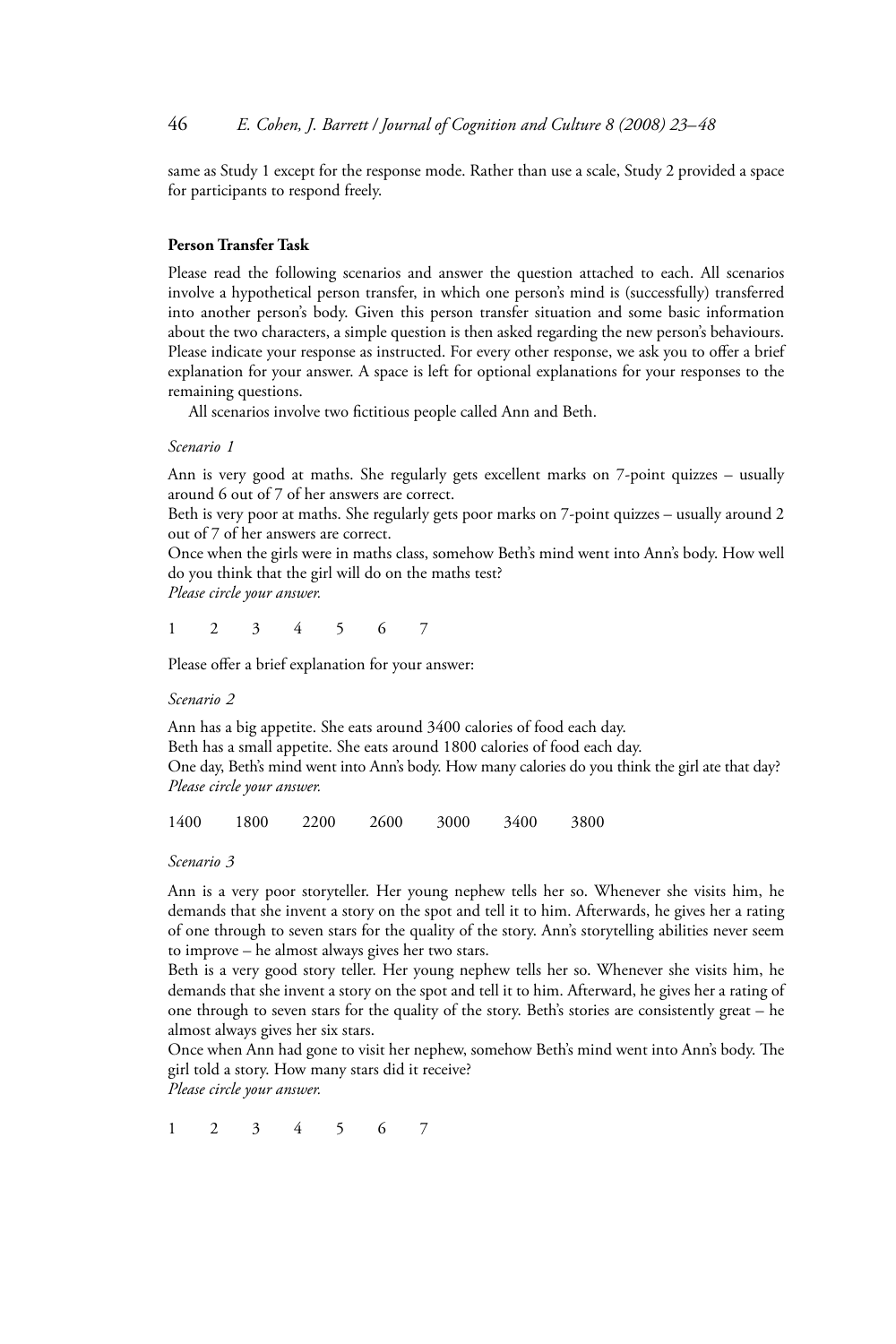same as Study 1 except for the response mode. Rather than use a scale, Study 2 provided a space for participants to respond freely.

#### Person Transfer Task

Please read the following scenarios and answer the question attached to each. All scenarios involve a hypothetical person transfer, in which one person's mind is (successfully) transferred into another person's body. Given this person transfer situation and some basic information about the two characters, a simple question is then asked regarding the new person's behaviours. Please indicate your response as instructed. For every other response, we ask you to offer a brief explanation for your answer. A space is left for optional explanations for your responses to the remaining questions.

All scenarios involve two fictitious people called Ann and Beth.

#### Scenario 1

Ann is very good at maths. She regularly gets excellent marks on 7-point quizzes - usually around 6 out of 7 of her answers are correct.

Beth is very poor at maths. She regularly gets poor marks on 7-point quizzes - usually around 2 out of 7 of her answers are correct.

Once when the girls were in maths class, somehow Beth's mind went into Ann's body. How well do you think that the girl will do on the maths test? Please circle your answer.

 $\mathbf{z}$  $4\overline{5}$  $\mathbf{1}$  $\mathfrak{D}$ 6  $\overline{7}$ 

Please offer a brief explanation for your answer:

#### Scenario 2

Ann has a big appetite. She eats around 3400 calories of food each day. Beth has a small appetite. She eats around 1800 calories of food each day. One day, Beth's mind went into Ann's body. How many calories do you think the girl ate that day? Please circle your answer.

1400 1800 2200 2600 3000 3400 3800

#### Scenario 3

Ann is a very poor storyteller. Her young nephew tells her so. Whenever she visits him, he demands that she invent a story on the spot and tell it to him. Afterwards, he gives her a rating of one through to seven stars for the quality of the story. Ann's storytelling abilities never seem to improve - he almost always gives her two stars.

Beth is a very good story teller. Her young nephew tells her so. Whenever she visits him, he demands that she invent a story on the spot and tell it to him. Afterward, he gives her a rating of one through to seven stars for the quality of the story. Beth's stories are consistently great - he almost always gives her six stars.

Once when Ann had gone to visit her nephew, somehow Beth's mind went into Ann's body. The girl told a story. How many stars did it receive? Please circle your answer.

 $5<sup>7</sup>$  $\mathbf{1}$  $\mathcal{L}$  $\mathcal{E}$  $\overline{4}$ 6 - 7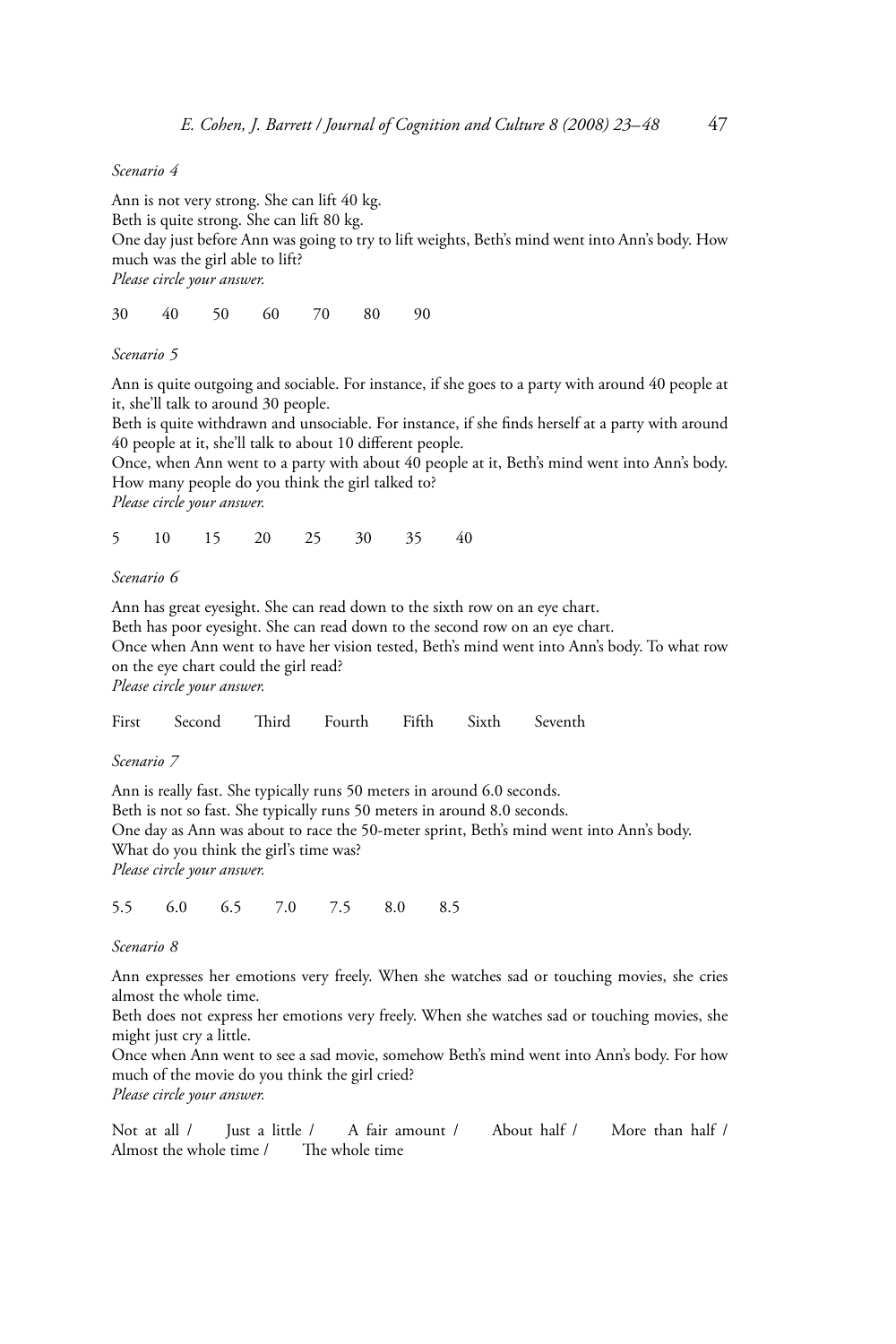47

#### Scenario 4

Ann is not very strong. She can lift 40 kg. Beth is quite strong. She can lift 80 kg. One day just before Ann was going to try to lift weights, Beth's mind went into Ann's body. How much was the girl able to lift? Please circle your answer.

50 60 70 30 40 80 90

Scenario 5

Ann is quite outgoing and sociable. For instance, if she goes to a party with around 40 people at it, she'll talk to around 30 people.

Beth is quite withdrawn and unsociable. For instance, if she finds herself at a party with around 40 people at it, she'll talk to about 10 different people.

Once, when Ann went to a party with about 40 people at it, Beth's mind went into Ann's body. How many people do you think the girl talked to?

Please circle your answer.

5  $10$ 15 20 25 30 35 40

Scenario 6

Ann has great eyesight. She can read down to the sixth row on an eye chart. Beth has poor eyesight. She can read down to the second row on an eye chart. Once when Ann went to have her vision tested, Beth's mind went into Ann's body. To what row on the eye chart could the girl read? Please circle your answer.

Second Third Fourth Fifth Sixth Seventh First

Scenario 7

Ann is really fast. She typically runs 50 meters in around 6.0 seconds. Beth is not so fast. She typically runs 50 meters in around 8.0 seconds. One day as Ann was about to race the 50-meter sprint, Beth's mind went into Ann's body. What do you think the girl's time was? Please circle your answer.

 $5.5$ 6.0 65  $7.0$  $7.5$ 8.0 8.5

#### Scenario 8

Ann expresses her emotions very freely. When she watches sad or touching movies, she cries almost the whole time.

Beth does not express her emotions very freely. When she watches sad or touching movies, she might just cry a little.

Once when Ann went to see a sad movie, somehow Beth's mind went into Ann's body. For how much of the movie do you think the girl cried? Please circle your answer.

About half / More than half / Not at all / Just a little / A fair amount / Almost the whole time / The whole time